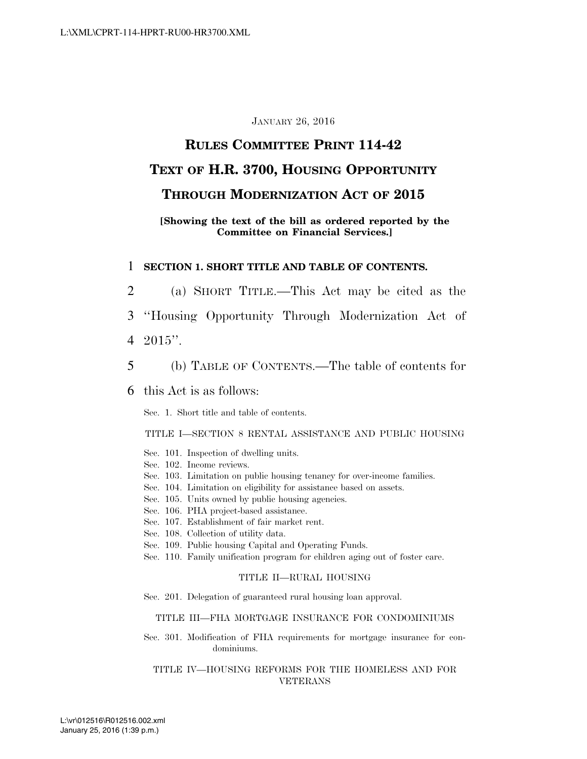#### JANUARY 26, 2016

## **RULES COMMITTEE PRINT 114-42**

### **TEXT OF H.R. 3700, HOUSING OPPORTUNITY**

### **THROUGH MODERNIZATION ACT OF 2015**

#### **[Showing the text of the bill as ordered reported by the Committee on Financial Services.]**

#### 1 **SECTION 1. SHORT TITLE AND TABLE OF CONTENTS.**

- 2 (a) SHORT TITLE.—This Act may be cited as the
- 3 ''Housing Opportunity Through Modernization Act of
- 4 2015''.
- 5 (b) TABLE OF CONTENTS.—The table of contents for

#### 6 this Act is as follows:

Sec. 1. Short title and table of contents.

TITLE I—SECTION 8 RENTAL ASSISTANCE AND PUBLIC HOUSING

- Sec. 101. Inspection of dwelling units.
- Sec. 102. Income reviews.
- Sec. 103. Limitation on public housing tenancy for over-income families.
- Sec. 104. Limitation on eligibility for assistance based on assets.
- Sec. 105. Units owned by public housing agencies.
- Sec. 106. PHA project-based assistance.
- Sec. 107. Establishment of fair market rent.
- Sec. 108. Collection of utility data.
- Sec. 109. Public housing Capital and Operating Funds.
- Sec. 110. Family unification program for children aging out of foster care.

#### TITLE II—RURAL HOUSING

Sec. 201. Delegation of guaranteed rural housing loan approval.

#### TITLE III—FHA MORTGAGE INSURANCE FOR CONDOMINIUMS

Sec. 301. Modification of FHA requirements for mortgage insurance for condominiums.

#### TITLE IV—HOUSING REFORMS FOR THE HOMELESS AND FOR VETERANS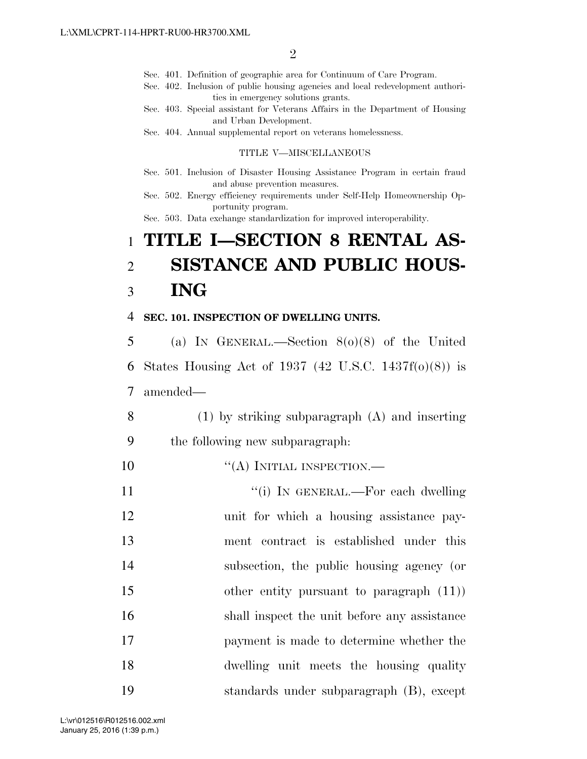Sec. 401. Definition of geographic area for Continuum of Care Program.

- Sec. 402. Inclusion of public housing agencies and local redevelopment authorities in emergency solutions grants.
- Sec. 403. Special assistant for Veterans Affairs in the Department of Housing and Urban Development.
- Sec. 404. Annual supplemental report on veterans homelessness.

#### TITLE V—MISCELLANEOUS

- Sec. 501. Inclusion of Disaster Housing Assistance Program in certain fraud and abuse prevention measures.
- Sec. 502. Energy efficiency requirements under Self-Help Homeownership Opportunity program.

Sec. 503. Data exchange standardization for improved interoperability.

# 1 **TITLE I—SECTION 8 RENTAL AS-**2 **SISTANCE AND PUBLIC HOUS-**3 **ING**

#### 4 **SEC. 101. INSPECTION OF DWELLING UNITS.**

5 (a) IN GENERAL.—Section 8(o)(8) of the United 6 States Housing Act of 1937 (42 U.S.C. 1437f(o)(8)) is 7 amended—

8 (1) by striking subparagraph (A) and inserting

- 9 the following new subparagraph:
- 10  $((A)$  INITIAL INSPECTION.—
- 11 ''(i) IN GENERAL.—For each dwelling 12 unit for which a housing assistance pay-13 ment contract is established under this 14 subsection, the public housing agency (or 15 other entity pursuant to paragraph (11)) 16 shall inspect the unit before any assistance 17 payment is made to determine whether the 18 dwelling unit meets the housing quality 19 standards under subparagraph (B), except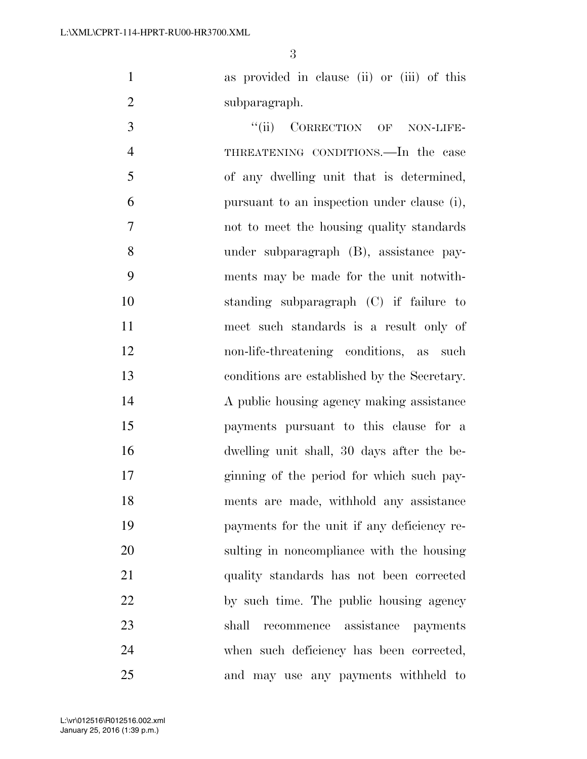as provided in clause (ii) or (iii) of this subparagraph.

3 "(ii) CORRECTION OF NON-LIFE- THREATENING CONDITIONS.—In the case of any dwelling unit that is determined, pursuant to an inspection under clause (i), not to meet the housing quality standards under subparagraph (B), assistance pay- ments may be made for the unit notwith- standing subparagraph (C) if failure to meet such standards is a result only of non-life-threatening conditions, as such conditions are established by the Secretary. A public housing agency making assistance payments pursuant to this clause for a dwelling unit shall, 30 days after the be- ginning of the period for which such pay- ments are made, withhold any assistance payments for the unit if any deficiency re- sulting in noncompliance with the housing quality standards has not been corrected by such time. The public housing agency shall recommence assistance payments when such deficiency has been corrected, and may use any payments withheld to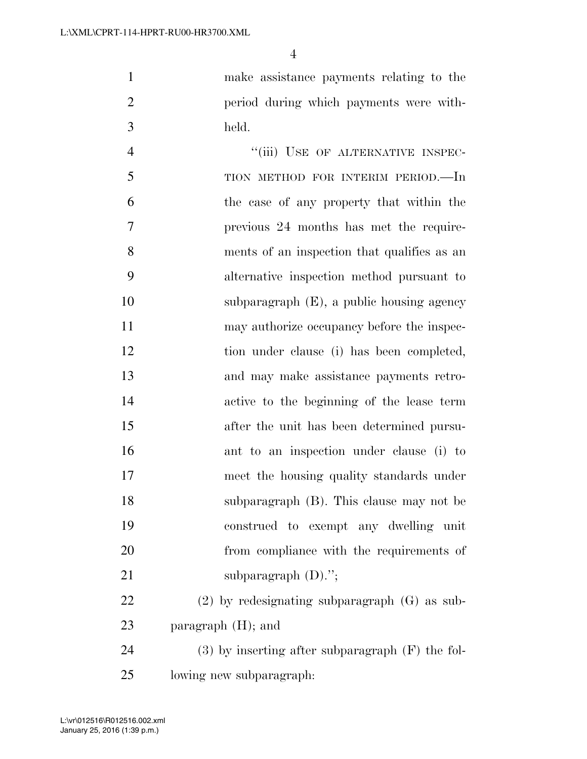make assistance payments relating to the period during which payments were with-held.

4 "(iii) USE OF ALTERNATIVE INSPEC-5 TION METHOD FOR INTERIM PERIOD.—In the case of any property that within the previous 24 months has met the require- ments of an inspection that qualifies as an alternative inspection method pursuant to subparagraph (E), a public housing agency 11 may authorize occupancy before the inspec- tion under clause (i) has been completed, and may make assistance payments retro- active to the beginning of the lease term after the unit has been determined pursu- ant to an inspection under clause (i) to meet the housing quality standards under subparagraph (B). This clause may not be construed to exempt any dwelling unit from compliance with the requirements of 21 subparagraph (D)."; (2) by redesignating subparagraph (G) as sub-paragraph (H); and

 (3) by inserting after subparagraph (F) the fol-lowing new subparagraph: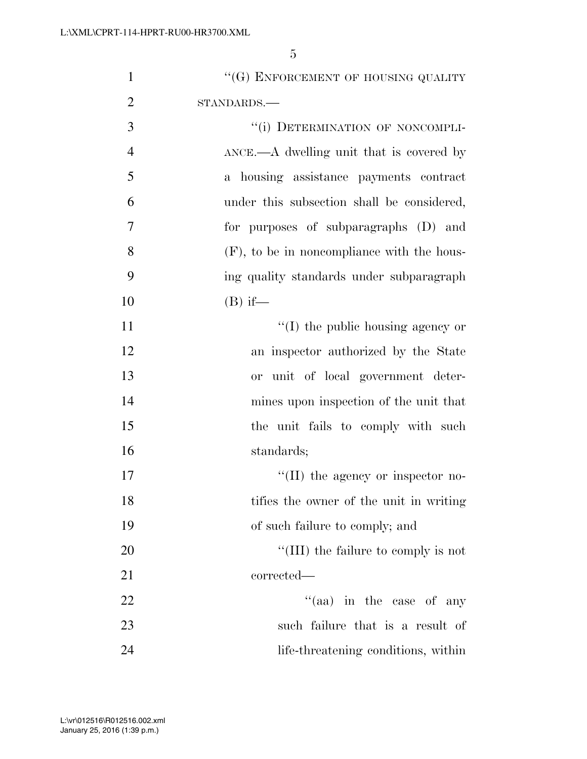| $\mathbf{1}$   | "(G) ENFORCEMENT OF HOUSING QUALITY                                    |
|----------------|------------------------------------------------------------------------|
| $\overline{2}$ | STANDARDS.-                                                            |
| 3              | "(i) DETERMINATION OF NONCOMPLI-                                       |
| $\overline{4}$ | $\Delta NCE$ . $\rightarrow$ $\Delta$ dwelling unit that is covered by |
| 5              | a housing assistance payments contract                                 |
| 6              | under this subsection shall be considered,                             |
| 7              | for purposes of subparagraphs (D) and                                  |
| 8              | $(F)$ , to be in noncompliance with the hous-                          |
| 9              | ing quality standards under subparagraph                               |
| 10             | $(B)$ if—                                                              |
| 11             | $\lq\lq$ (I) the public housing agency or                              |
| 12             | an inspector authorized by the State                                   |
| 13             | unit of local government deter-<br><b>or</b>                           |
| 14             | mines upon inspection of the unit that                                 |
| 15             | the unit fails to comply with such                                     |
| 16             | standards;                                                             |
| 17             | $\lq\lq$ (II) the agency or inspector no-                              |
| 18             | tifies the owner of the unit in writing                                |
| 19             | of such failure to comply; and                                         |
| 20             | "(III) the failure to comply is not                                    |
| 21             | corrected—                                                             |
| 22             | "(aa) in the case of any                                               |
| 23             | such failure that is a result of                                       |
| 24             | life-threatening conditions, within                                    |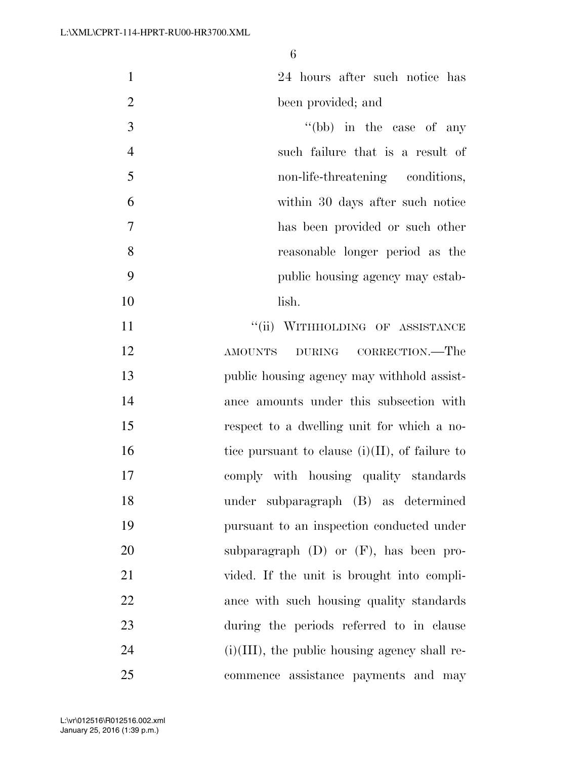| $\mathbf{1}$ | 24 hours after such notice has   |
|--------------|----------------------------------|
| 2            | been provided; and               |
| 3            | "(bb) in the case of any         |
| 4            | such failure that is a result of |
| 5            | non-life-threatening conditions, |
| 6            | within 30 days after such notice |
| 7            | has been provided or such other  |

- reasonable longer period as the public housing agency may estab-
- lish.

**''**(ii) WITHHOLDING OF ASSISTANCE AMOUNTS DURING CORRECTION.—The public housing agency may withhold assist- ance amounts under this subsection with respect to a dwelling unit for which a no-16 tice pursuant to clause  $(i)(II)$ , of failure to comply with housing quality standards under subparagraph (B) as determined pursuant to an inspection conducted under subparagraph (D) or (F), has been pro- vided. If the unit is brought into compli- ance with such housing quality standards during the periods referred to in clause (i)(III), the public housing agency shall re-commence assistance payments and may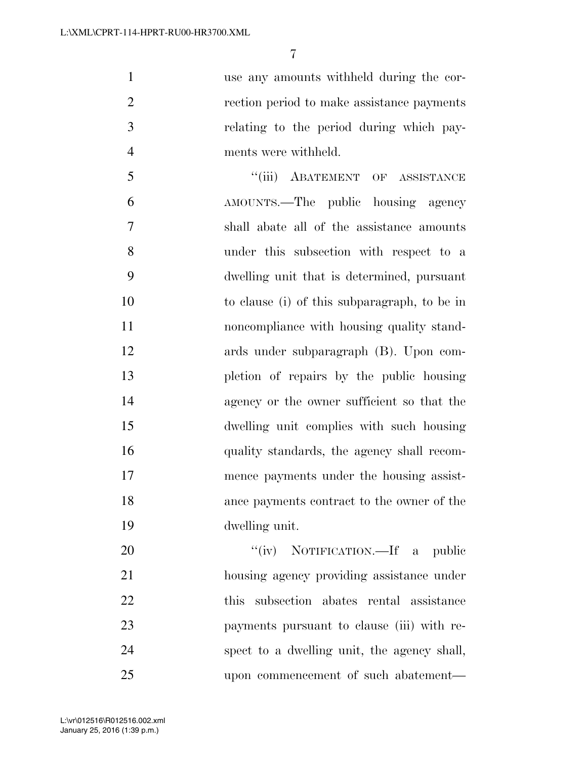use any amounts withheld during the cor-2 rection period to make assistance payments relating to the period during which pay-ments were withheld.

5 "(iii) ABATEMENT OF ASSISTANCE AMOUNTS.—The public housing agency shall abate all of the assistance amounts under this subsection with respect to a dwelling unit that is determined, pursuant to clause (i) of this subparagraph, to be in **noncompliance** with housing quality stand- ards under subparagraph (B). Upon com- pletion of repairs by the public housing agency or the owner sufficient so that the dwelling unit complies with such housing quality standards, the agency shall recom- mence payments under the housing assist- ance payments contract to the owner of the dwelling unit.

20 "(iv) NOTIFICATION.—If a public housing agency providing assistance under this subsection abates rental assistance payments pursuant to clause (iii) with re- spect to a dwelling unit, the agency shall, upon commencement of such abatement—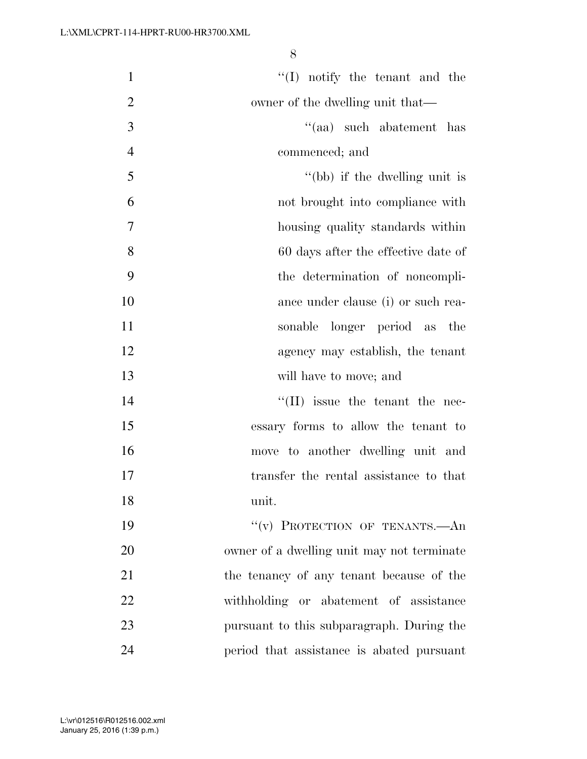| $\mathbf{1}$   | $\lq\lq$ . notify the tenant and the       |
|----------------|--------------------------------------------|
| $\overline{2}$ | owner of the dwelling unit that—           |
| 3              | "(aa) such abatement has                   |
| $\overline{4}$ | commenced; and                             |
| 5              | "(bb) if the dwelling unit is              |
| 6              | not brought into compliance with           |
| $\tau$         | housing quality standards within           |
| 8              | 60 days after the effective date of        |
| 9              | the determination of noncompli-            |
| 10             | ance under clause (i) or such rea-         |
| 11             | sonable longer period as the               |
| 12             | agency may establish, the tenant           |
| 13             | will have to move; and                     |
| 14             | $\lq\lq$ (II) issue the tenant the nec-    |
| 15             | essary forms to allow the tenant to        |
| 16             | move to another dwelling unit and          |
| 17             | transfer the rental assistance to that     |
| 18             | unit.                                      |
| 19             | "(v) PROTECTION OF TENANTS.- An            |
| 20             | owner of a dwelling unit may not terminate |
| 21             | the tenancy of any tenant because of the   |
| 22             | withholding or abatement of assistance     |
| 23             | pursuant to this subparagraph. During the  |
| 24             | period that assistance is abated pursuant  |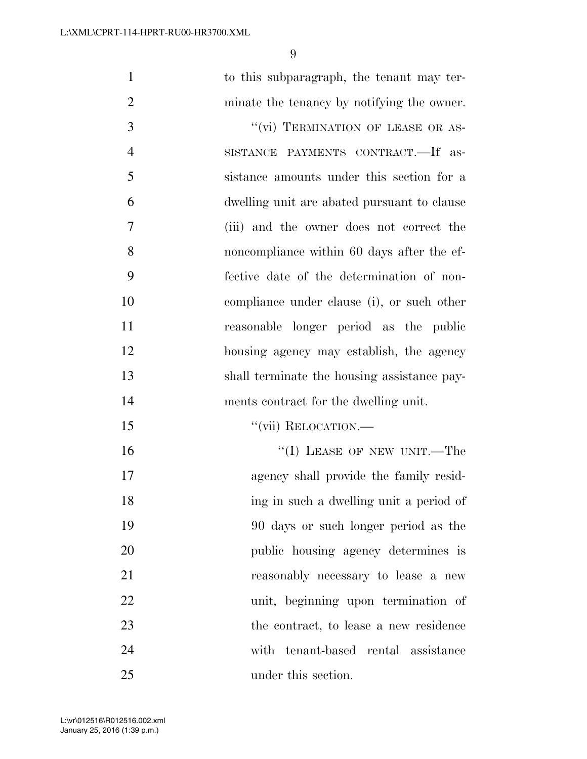| $\mathbf{1}$   | to this subparagraph, the tenant may ter-   |
|----------------|---------------------------------------------|
| $\overline{2}$ | minate the tenancy by notifying the owner.  |
| 3              | "(vi) TERMINATION OF LEASE OR AS-           |
| $\overline{4}$ | SISTANCE PAYMENTS CONTRACT.—If as-          |
| 5              | sistance amounts under this section for a   |
| 6              | dwelling unit are abated pursuant to clause |
| $\overline{7}$ | (iii) and the owner does not correct the    |
| 8              | noncompliance within 60 days after the ef-  |
| 9              | fective date of the determination of non-   |
| 10             | compliance under clause (i), or such other  |
| 11             | reasonable longer period as the public      |
| 12             | housing agency may establish, the agency    |
| 13             | shall terminate the housing assistance pay- |
| 14             | ments contract for the dwelling unit.       |
| 15             | "(vii) RELOCATION.-                         |
| 16             | "(I) LEASE OF NEW UNIT.—The                 |
| 17             | agency shall provide the family resid-      |
| 18             | ing in such a dwelling unit a period of     |
| 19             | 90 days or such longer period as the        |
| 20             | public housing agency determines is         |
| 21             | reasonably necessary to lease a new         |
| 22             | unit, beginning upon termination of         |
| 23             | the contract, to lease a new residence      |
| 24             | with tenant-based rental assistance         |
| 25             | under this section.                         |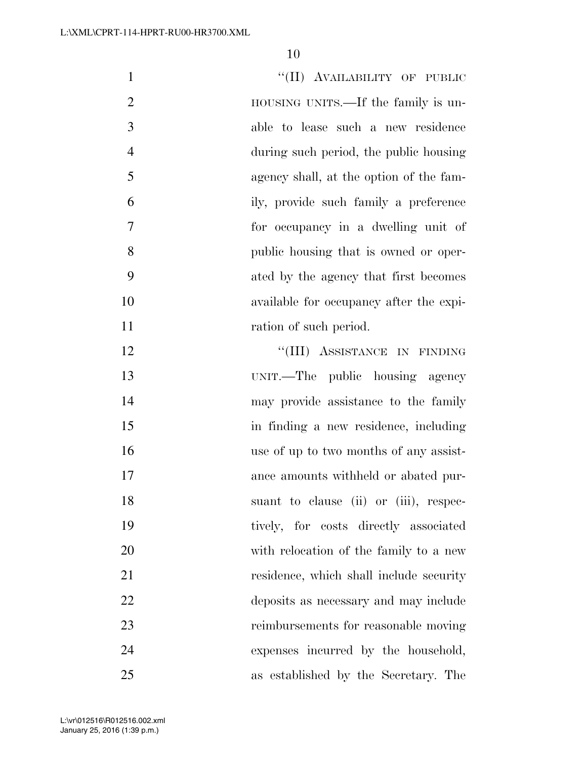| $\mathbf{1}$   | "(II) AVAILABILITY OF PUBLIC            |
|----------------|-----------------------------------------|
| $\overline{2}$ | HOUSING UNITS.—If the family is un-     |
| 3              | able to lease such a new residence      |
| $\overline{4}$ | during such period, the public housing  |
| 5              | agency shall, at the option of the fam- |
| 6              | ily, provide such family a preference   |
| 7              | for occupancy in a dwelling unit of     |
| 8              | public housing that is owned or oper-   |
| 9              | ated by the agency that first becomes   |
| 10             | available for occupancy after the expi- |
| 11             | ration of such period.                  |
| 12             | "(III) ASSISTANCE IN FINDING            |
| 13             | UNIT.—The public housing agency         |
| 14             | may provide assistance to the family    |
| 15             | in finding a new residence, including   |
| 16             | use of up to two months of any assist-  |
| 17             | ance amounts withheld or abated pur-    |
| 18             | suant to clause (ii) or (iii), respec-  |
| 19             | tively, for costs directly associated   |
| 20             | with relocation of the family to a new  |
| 21             | residence, which shall include security |
| 22             | deposits as necessary and may include   |
| 23             | reimbursements for reasonable moving    |
| 24             | expenses incurred by the household,     |
| 25             | as established by the Secretary. The    |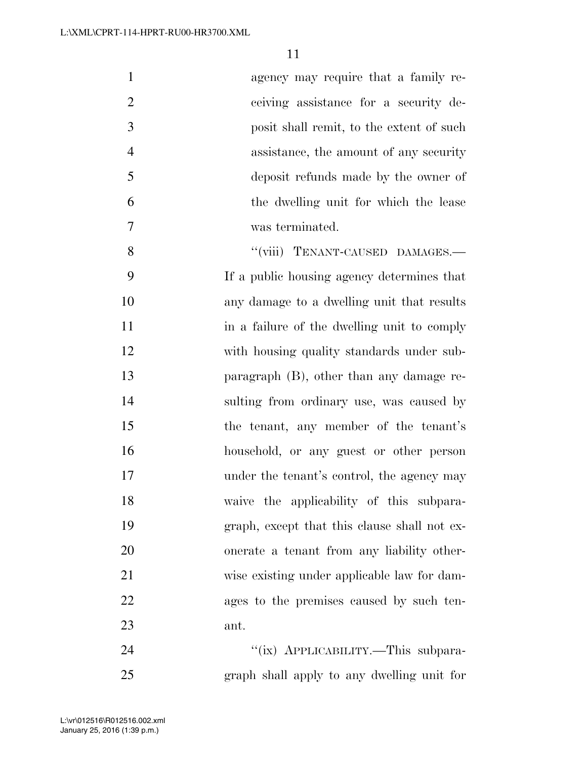| $\mathbf{1}$   | agency may require that a family re-         |
|----------------|----------------------------------------------|
| $\overline{2}$ | ceiving assistance for a security de-        |
| 3              | posit shall remit, to the extent of such     |
| $\overline{4}$ | assistance, the amount of any security       |
| 5              | deposit refunds made by the owner of         |
| 6              | the dwelling unit for which the lease        |
| 7              | was terminated.                              |
| 8              | "(viii) TENANT-CAUSED DAMAGES.-              |
| 9              | If a public housing agency determines that   |
| 10             | any damage to a dwelling unit that results   |
| 11             | in a failure of the dwelling unit to comply  |
| 12             | with housing quality standards under sub-    |
| 13             | paragraph $(B)$ , other than any damage re-  |
| 14             | sulting from ordinary use, was caused by     |
| 15             | the tenant, any member of the tenant's       |
| 16             | household, or any guest or other person      |
| 17             | under the tenant's control, the agency may   |
| 18             | waive the applicability of this subpara-     |
| 19             | graph, except that this clause shall not ex- |
| 20             | onerate a tenant from any liability other-   |
| 21             | wise existing under applicable law for dam-  |
| 22             | ages to the premises caused by such ten-     |
| 23             | ant.                                         |
| 24             | "(ix) APPLICABILITY.—This subpara-           |
| 25             | graph shall apply to any dwelling unit for   |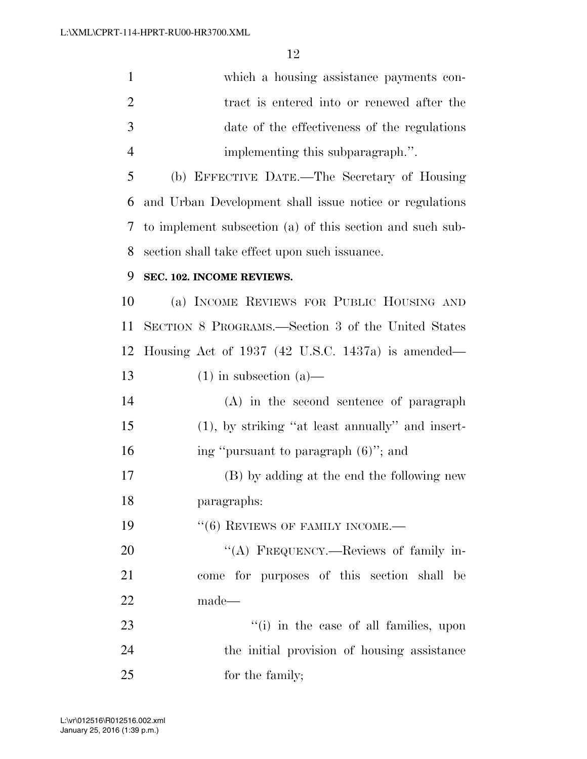| $\mathbf{1}$   | which a housing assistance payments con-                  |
|----------------|-----------------------------------------------------------|
| $\overline{2}$ | tract is entered into or renewed after the                |
| 3              | date of the effectiveness of the regulations              |
| $\overline{4}$ | implementing this subparagraph.".                         |
| 5              | (b) EFFECTIVE DATE.—The Secretary of Housing              |
| 6              | and Urban Development shall issue notice or regulations   |
| 7              | to implement subsection (a) of this section and such sub- |
| 8              | section shall take effect upon such issuance.             |
| 9              | SEC. 102. INCOME REVIEWS.                                 |
| 10             | (a) INCOME REVIEWS FOR PUBLIC HOUSING AND                 |
| 11             | SECTION 8 PROGRAMS.—Section 3 of the United States        |
| 12             | Housing Act of $1937$ (42 U.S.C. 1437a) is amended—       |
| 13             | $(1)$ in subsection $(a)$ —                               |
| 14             | (A) in the second sentence of paragraph                   |
| 15             | $(1)$ , by striking "at least annually" and insert-       |
| 16             | ing "pursuant to paragraph (6)"; and                      |
| 17             | (B) by adding at the end the following new                |
| 18             | paragraphs:                                               |
| 19             | $``(6)$ REVIEWS OF FAMILY INCOME.—                        |
| 20             | "(A) FREQUENCY.—Reviews of family in-                     |
| 21             | come for purposes of this section shall be                |
| 22             | made—                                                     |
| 23             | "(i) in the case of all families, upon                    |
| 24             | the initial provision of housing assistance               |
| 25             | for the family;                                           |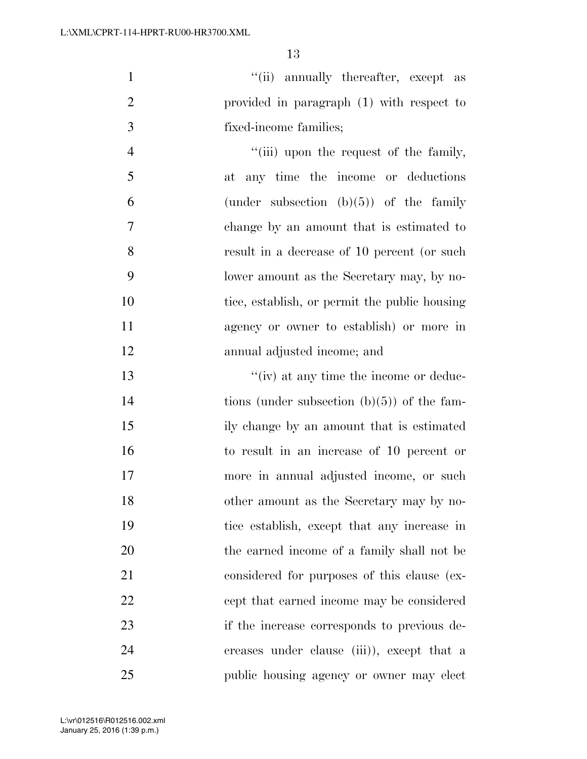1  $''(ii)$  annually thereafter, except as provided in paragraph (1) with respect to fixed-income families;

4 ''(iii) upon the request of the family, at any time the income or deductions 6 (under subsection  $(b)(5)$ ) of the family change by an amount that is estimated to result in a decrease of 10 percent (or such lower amount as the Secretary may, by no-10 tice, establish, or permit the public housing agency or owner to establish) or more in annual adjusted income; and

 ''(iv) at any time the income or deduc-14 tions (under subsection (b)(5)) of the fam- ily change by an amount that is estimated to result in an increase of 10 percent or more in annual adjusted income, or such other amount as the Secretary may by no- tice establish, except that any increase in the earned income of a family shall not be considered for purposes of this clause (ex- cept that earned income may be considered if the increase corresponds to previous de- creases under clause (iii)), except that a public housing agency or owner may elect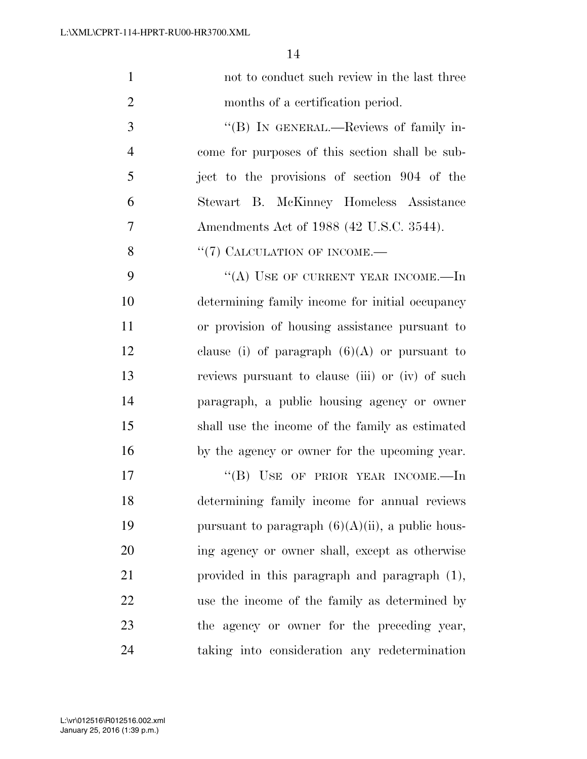| $\mathbf{1}$   | not to conduct such review in the last three        |
|----------------|-----------------------------------------------------|
| $\overline{2}$ | months of a certification period.                   |
| 3              | "(B) IN GENERAL.—Reviews of family in-              |
| $\overline{4}$ | come for purposes of this section shall be sub-     |
| 5              | ject to the provisions of section 904 of the        |
| 6              | Stewart B. McKinney Homeless Assistance             |
| 7              | Amendments Act of 1988 (42 U.S.C. 3544).            |
| 8              | $\lq(7)$ CALCULATION OF INCOME.—                    |
| 9              | "(A) USE OF CURRENT YEAR INCOME.—In                 |
| 10             | determining family income for initial occupancy     |
| 11             | or provision of housing assistance pursuant to      |
| 12             | clause (i) of paragraph $(6)(A)$ or pursuant to     |
| 13             | reviews pursuant to clause (iii) or (iv) of such    |
| 14             | paragraph, a public housing agency or owner         |
| 15             | shall use the income of the family as estimated     |
| 16             | by the agency or owner for the upcoming year.       |
| 17             | "(B) USE OF PRIOR YEAR INCOME.—In                   |
| 18             | determining family income for annual reviews        |
| 19             | pursuant to paragraph $(6)(A)(ii)$ , a public hous- |
| 20             | ing agency or owner shall, except as otherwise      |
| 21             | provided in this paragraph and paragraph $(1)$ ,    |
| 22             | use the income of the family as determined by       |
| 23             | the agency or owner for the preceding year,         |
| 24             | taking into consideration any redetermination       |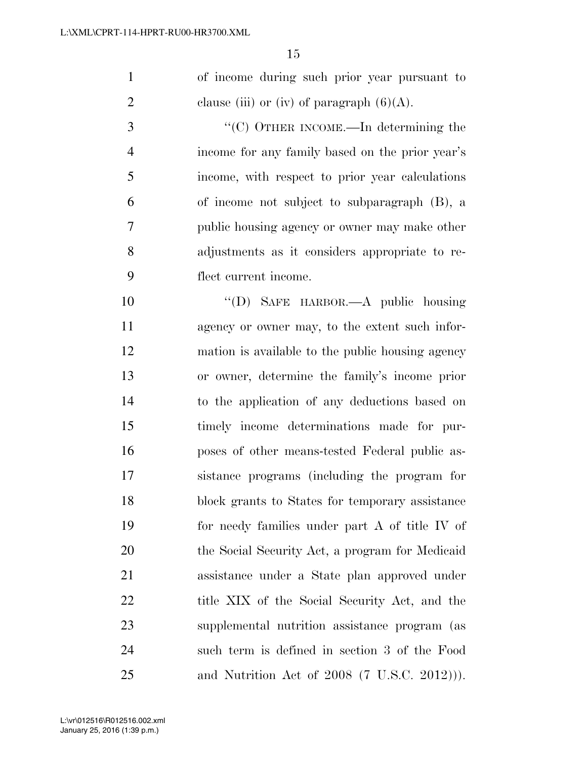of income during such prior year pursuant to 2 clause (iii) or (iv) of paragraph  $(6)(A)$ .

 ''(C) OTHER INCOME.—In determining the income for any family based on the prior year's income, with respect to prior year calculations of income not subject to subparagraph (B), a public housing agency or owner may make other adjustments as it considers appropriate to re-flect current income.

 ''(D) SAFE HARBOR.—A public housing agency or owner may, to the extent such infor- mation is available to the public housing agency or owner, determine the family's income prior to the application of any deductions based on timely income determinations made for pur- poses of other means-tested Federal public as- sistance programs (including the program for block grants to States for temporary assistance for needy families under part A of title IV of the Social Security Act, a program for Medicaid assistance under a State plan approved under 22 title XIX of the Social Security Act, and the supplemental nutrition assistance program (as such term is defined in section 3 of the Food and Nutrition Act of 2008 (7 U.S.C. 2012))).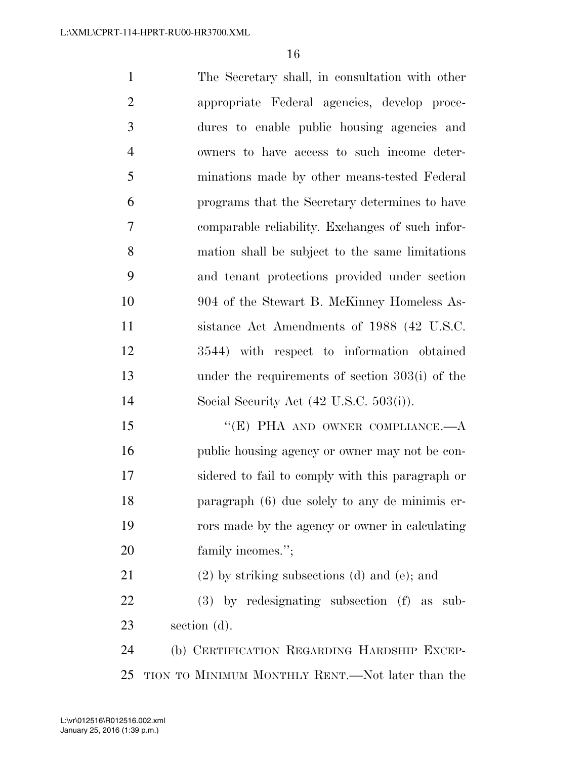The Secretary shall, in consultation with other appropriate Federal agencies, develop proce- dures to enable public housing agencies and owners to have access to such income deter- minations made by other means-tested Federal programs that the Secretary determines to have comparable reliability. Exchanges of such infor- mation shall be subject to the same limitations and tenant protections provided under section 904 of the Stewart B. McKinney Homeless As- sistance Act Amendments of 1988 (42 U.S.C. 3544) with respect to information obtained under the requirements of section 303(i) of the Social Security Act (42 U.S.C. 503(i)). 15 "(E) PHA AND OWNER COMPLIANCE.—A 16 public housing agency or owner may not be con- sidered to fail to comply with this paragraph or paragraph (6) due solely to any de minimis er- rors made by the agency or owner in calculating 20 family incomes."; (2) by striking subsections (d) and (e); and

 (3) by redesignating subsection (f) as sub-section (d).

 (b) CERTIFICATION REGARDING HARDSHIP EXCEP-TION TO MINIMUM MONTHLY RENT.—Not later than the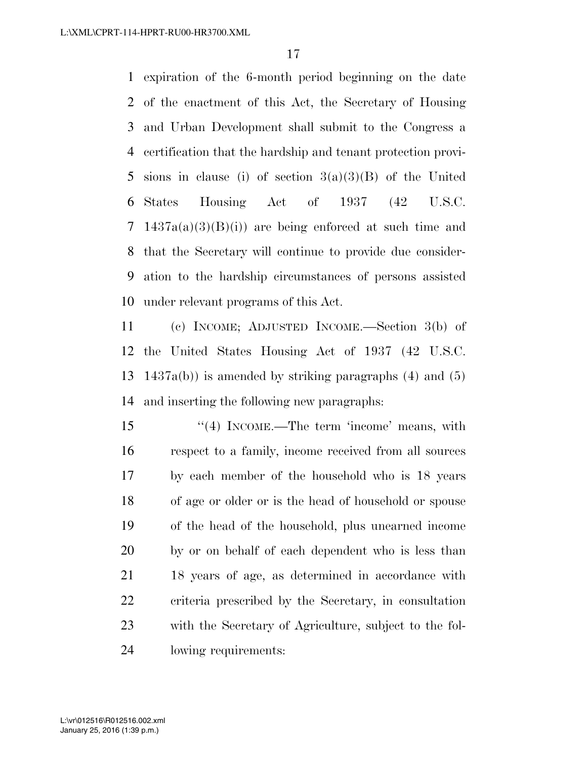expiration of the 6-month period beginning on the date of the enactment of this Act, the Secretary of Housing and Urban Development shall submit to the Congress a certification that the hardship and tenant protection provi- sions in clause (i) of section 3(a)(3)(B) of the United States Housing Act of 1937 (42 U.S.C. 1437a(a)(3)(B)(i)) are being enforced at such time and that the Secretary will continue to provide due consider- ation to the hardship circumstances of persons assisted under relevant programs of this Act.

 (c) INCOME; ADJUSTED INCOME.—Section 3(b) of the United States Housing Act of 1937 (42 U.S.C. 1437a(b)) is amended by striking paragraphs (4) and (5) and inserting the following new paragraphs:

15 ''(4) INCOME.—The term 'income' means, with respect to a family, income received from all sources by each member of the household who is 18 years of age or older or is the head of household or spouse of the head of the household, plus unearned income by or on behalf of each dependent who is less than 18 years of age, as determined in accordance with criteria prescribed by the Secretary, in consultation with the Secretary of Agriculture, subject to the fol-lowing requirements: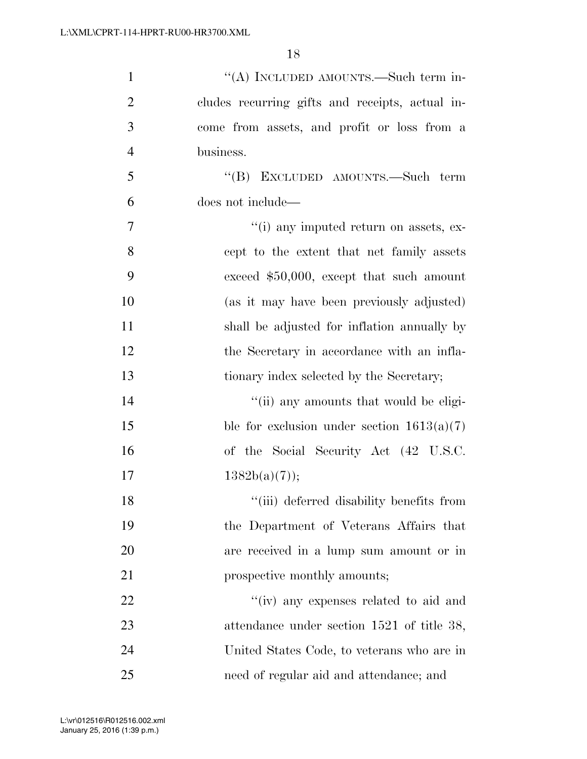| $\mathbf{1}$   | "(A) INCLUDED AMOUNTS.—Such term in-            |
|----------------|-------------------------------------------------|
| $\overline{2}$ | cludes recurring gifts and receipts, actual in- |
| 3              | come from assets, and profit or loss from a     |
| $\overline{4}$ | business.                                       |
| 5              | "(B) EXCLUDED AMOUNTS.—Such term                |
| 6              | does not include—                               |
| 7              | "(i) any imputed return on assets, ex-          |
| 8              | cept to the extent that net family assets       |
| 9              | exceed $$50,000$ , except that such amount      |
| 10             | (as it may have been previously adjusted)       |
| 11             | shall be adjusted for inflation annually by     |
| 12             | the Secretary in accordance with an infla-      |
| 13             | tionary index selected by the Secretary;        |
| 14             | "(ii) any amounts that would be eligi-          |
| 15             | ble for exclusion under section $1613(a)(7)$    |
| 16             | of the Social Security Act (42 U.S.C.           |
| 17             | $1382b(a)(7)$ ;                                 |
| 18             | "(iii) deferred disability benefits from        |
| 19             | the Department of Veterans Affairs that         |
| 20             | are received in a lump sum amount or in         |
| 21             | prospective monthly amounts;                    |
| 22             | "(iv) any expenses related to aid and           |
| 23             | attendance under section 1521 of title 38,      |
| 24             | United States Code, to veterans who are in      |
| 25             | need of regular aid and attendance; and         |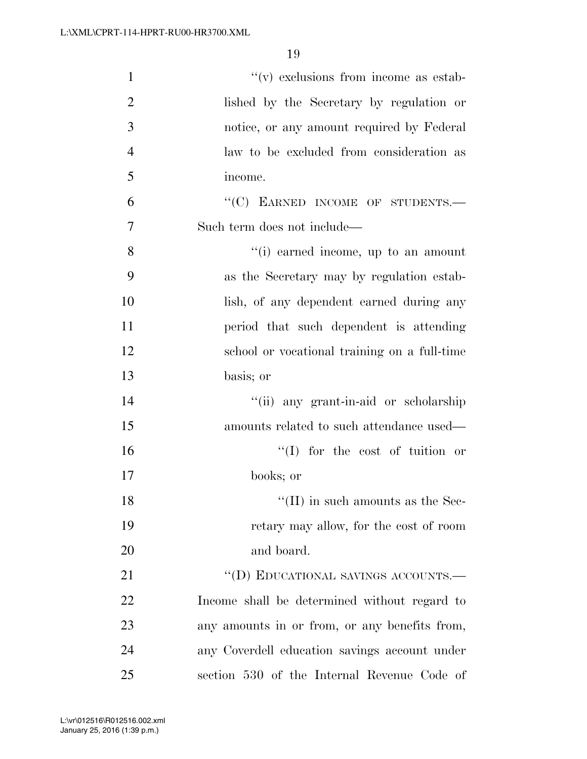| $\mathbf{1}$   | $f'(v)$ exclusions from income as estab-      |
|----------------|-----------------------------------------------|
| $\overline{2}$ | lished by the Secretary by regulation or      |
| 3              | notice, or any amount required by Federal     |
| $\overline{4}$ | law to be excluded from consideration as      |
| 5              | income.                                       |
| 6              | "(C) EARNED INCOME OF STUDENTS.-              |
| 7              | Such term does not include—                   |
| 8              | "(i) earned income, up to an amount           |
| 9              | as the Secretary may by regulation estab-     |
| 10             | lish, of any dependent earned during any      |
| 11             | period that such dependent is attending       |
| 12             | school or vocational training on a full-time  |
| 13             | basis; or                                     |
| 14             | "(ii) any grant-in-aid or scholarship         |
| 15             | amounts related to such attendance used—      |
| 16             | $\lq\lq$ for the cost of tuition or           |
| 17             | books; or                                     |
| 18             | $\lq\lq$ (II) in such amounts as the Sec-     |
| 19             | retary may allow, for the cost of room        |
| 20             | and board.                                    |
| 21             | "(D) EDUCATIONAL SAVINGS ACCOUNTS.-           |
| 22             | Income shall be determined without regard to  |
| 23             | any amounts in or from, or any benefits from, |
| 24             | any Coverdell education savings account under |
| 25             | section 530 of the Internal Revenue Code of   |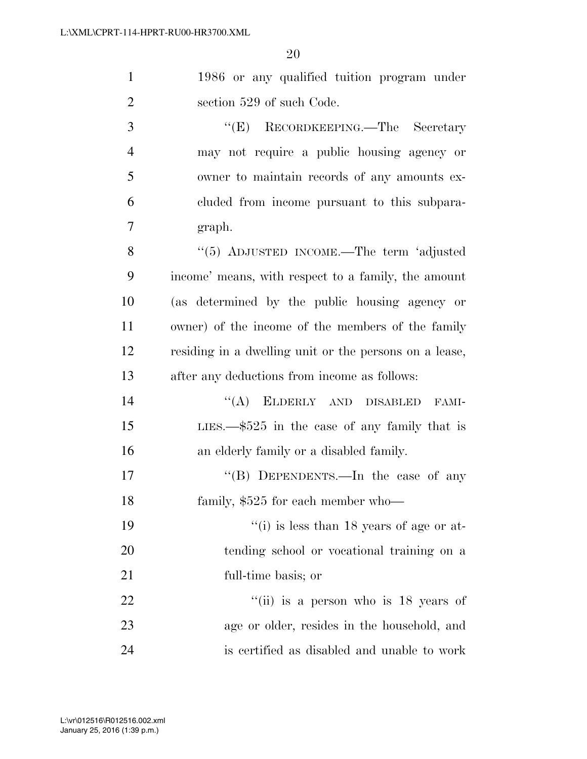| $\overline{1}$ | 1986 or any qualified tuition program under                                      |
|----------------|----------------------------------------------------------------------------------|
| $\overline{2}$ | section 529 of such Code.                                                        |
| 3              | RECORDKEEPING.—The Secretary<br>``(E)                                            |
| $\overline{4}$ | may not require a public housing agency or                                       |
| 5              | owner to maintain records of any amounts ex-                                     |
| 6              | eluded from income pursuant to this subpara-                                     |
| 7              | graph.                                                                           |
| 8              | "(5) ADJUSTED INCOME.—The term 'adjusted                                         |
| $\Omega$       | $\mathbf{a}$ and $\mathbf{a}$ and $\mathbf{a}$ and $\mathbf{a}$ and $\mathbf{a}$ |

 income' means, with respect to a family, the amount (as determined by the public housing agency or owner) of the income of the members of the family residing in a dwelling unit or the persons on a lease, after any deductions from income as follows:

14 "(A) ELDERLY AND DISABLED FAMI- LIES.—\$525 in the case of any family that is an elderly family or a disabled family.

17 "'(B) DEPENDENTS.—In the case of any 18 family, \$525 for each member who—

19 ''(i) is less than 18 years of age or at- tending school or vocational training on a full-time basis; or

22  $\frac{1}{10}$  is a person who is 18 years of age or older, resides in the household, and is certified as disabled and unable to work

January 25, 2016 (1:39 p.m.) L:\vr\012516\R012516.002.xml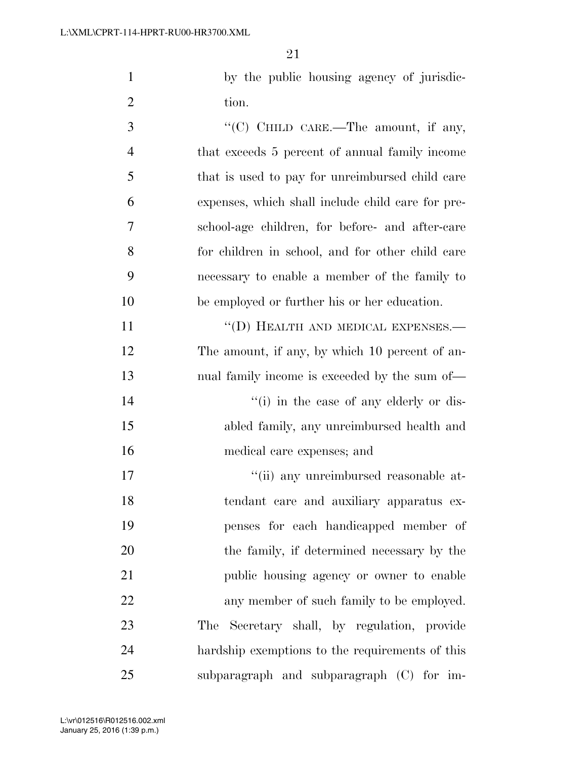by the public housing agency of jurisdic-2 tion.

 ''(C) CHILD CARE.—The amount, if any, that exceeds 5 percent of annual family income that is used to pay for unreimbursed child care expenses, which shall include child care for pre- school-age children, for before- and after-care for children in school, and for other child care necessary to enable a member of the family to be employed or further his or her education.

11 ""(D) HEALTH AND MEDICAL EXPENSES.— 12 The amount, if any, by which 10 percent of an- nual family income is exceeded by the sum of— 14 ''(i) in the case of any elderly or dis- abled family, any unreimbursed health and medical care expenses; and

 $\frac{1}{10}$  any unreimbursed reasonable at- tendant care and auxiliary apparatus ex- penses for each handicapped member of the family, if determined necessary by the public housing agency or owner to enable 22 any member of such family to be employed. The Secretary shall, by regulation, provide hardship exemptions to the requirements of this subparagraph and subparagraph (C) for im-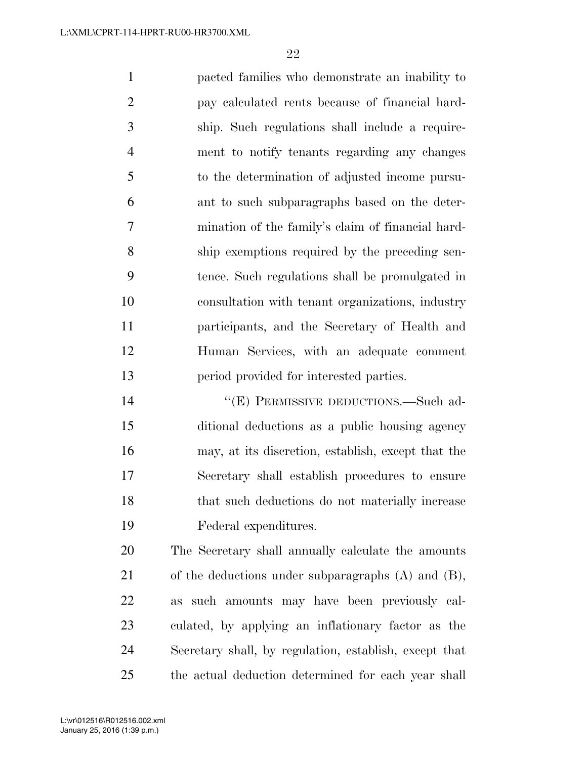pacted families who demonstrate an inability to pay calculated rents because of financial hard- ship. Such regulations shall include a require- ment to notify tenants regarding any changes to the determination of adjusted income pursu- ant to such subparagraphs based on the deter- mination of the family's claim of financial hard- ship exemptions required by the preceding sen- tence. Such regulations shall be promulgated in consultation with tenant organizations, industry participants, and the Secretary of Health and Human Services, with an adequate comment period provided for interested parties.

14 "(E) PERMISSIVE DEDUCTIONS.—Such ad- ditional deductions as a public housing agency may, at its discretion, establish, except that the Secretary shall establish procedures to ensure that such deductions do not materially increase Federal expenditures.

 The Secretary shall annually calculate the amounts of the deductions under subparagraphs (A) and (B), as such amounts may have been previously cal- culated, by applying an inflationary factor as the Secretary shall, by regulation, establish, except that the actual deduction determined for each year shall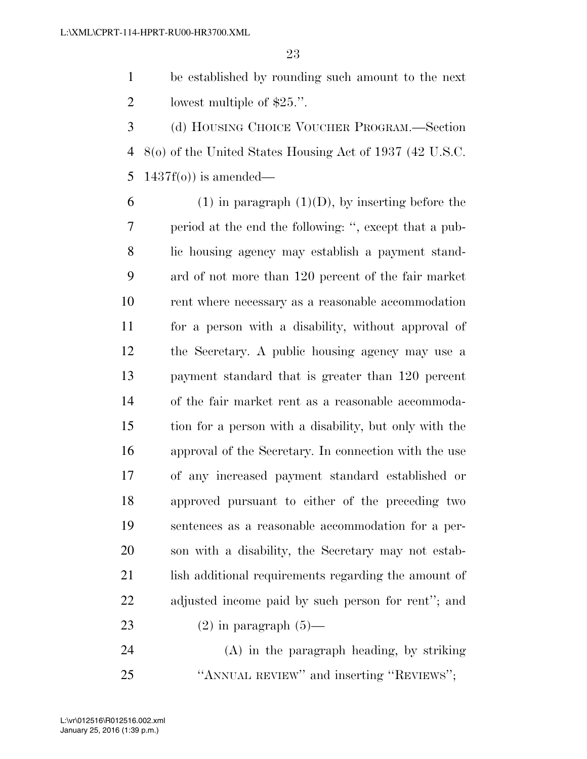be established by rounding such amount to the next lowest multiple of \$25.''.

 (d) HOUSING CHOICE VOUCHER PROGRAM.—Section 8(o) of the United States Housing Act of 1937 (42 U.S.C. 5  $1437f(0)$  is amended—

6 (1) in paragraph  $(1)(D)$ , by inserting before the period at the end the following: '', except that a pub- lic housing agency may establish a payment stand- ard of not more than 120 percent of the fair market rent where necessary as a reasonable accommodation for a person with a disability, without approval of the Secretary. A public housing agency may use a payment standard that is greater than 120 percent of the fair market rent as a reasonable accommoda- tion for a person with a disability, but only with the approval of the Secretary. In connection with the use of any increased payment standard established or approved pursuant to either of the preceding two sentences as a reasonable accommodation for a per- son with a disability, the Secretary may not estab-21 lish additional requirements regarding the amount of adjusted income paid by such person for rent''; and 23 (2) in paragraph  $(5)$ —

 (A) in the paragraph heading, by striking ''ANNUAL REVIEW'' and inserting ''REVIEWS'';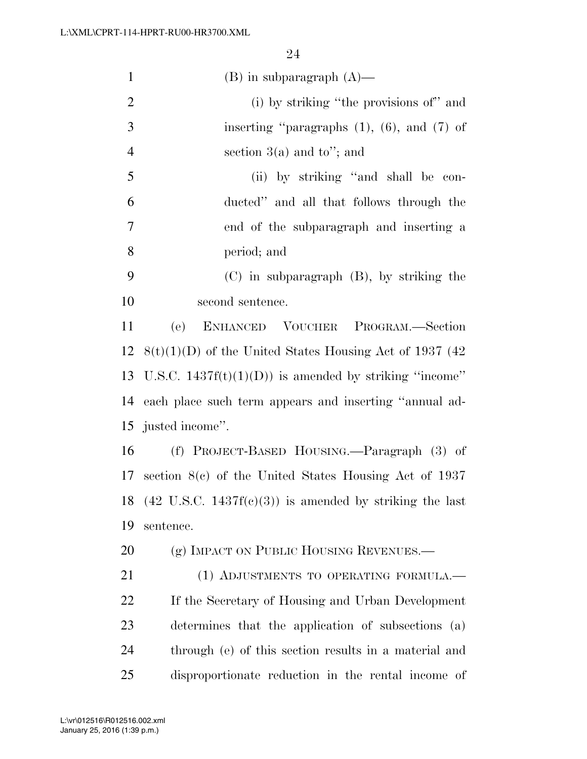| $\mathbf{1}$   | $(B)$ in subparagraph $(A)$ —                                      |
|----------------|--------------------------------------------------------------------|
| $\overline{2}$ | (i) by striking "the provisions of" and                            |
| 3              | inserting "paragraphs $(1)$ , $(6)$ , and $(7)$ of                 |
| $\overline{4}$ | section $3(a)$ and to"; and                                        |
| 5              | (ii) by striking "and shall be con-                                |
| 6              | ducted" and all that follows through the                           |
| $\tau$         | end of the subparagraph and inserting a                            |
| 8              | period; and                                                        |
| 9              | $(C)$ in subparagraph $(B)$ , by striking the                      |
| 10             | second sentence.                                                   |
| 11             | ENHANCED VOUCHER PROGRAM.-Section<br>(e)                           |
| 12             | $8(t)(1)(D)$ of the United States Housing Act of 1937 (42)         |
|                | 13 U.S.C. $1437f(t)(1)(D)$ is amended by striking "income"         |
| 14             | each place such term appears and inserting "annual ad-             |
|                | 15 justed income".                                                 |
| 16             | (f) PROJECT-BASED HOUSING.—Paragraph (3) of                        |
| 17             | section $8(c)$ of the United States Housing Act of 1937            |
| 18             | $(42 \text{ U.S.C. } 1437f(c)(3))$ is amended by striking the last |
| 19             | sentence.                                                          |
| 20             | (g) IMPACT ON PUBLIC HOUSING REVENUES.-                            |
| 21             | (1) ADJUSTMENTS TO OPERATING FORMULA.—                             |
| 22             | If the Secretary of Housing and Urban Development                  |
| 23             | determines that the application of subsections (a)                 |
| 24             | through (e) of this section results in a material and              |
| 25             | disproportionate reduction in the rental income of                 |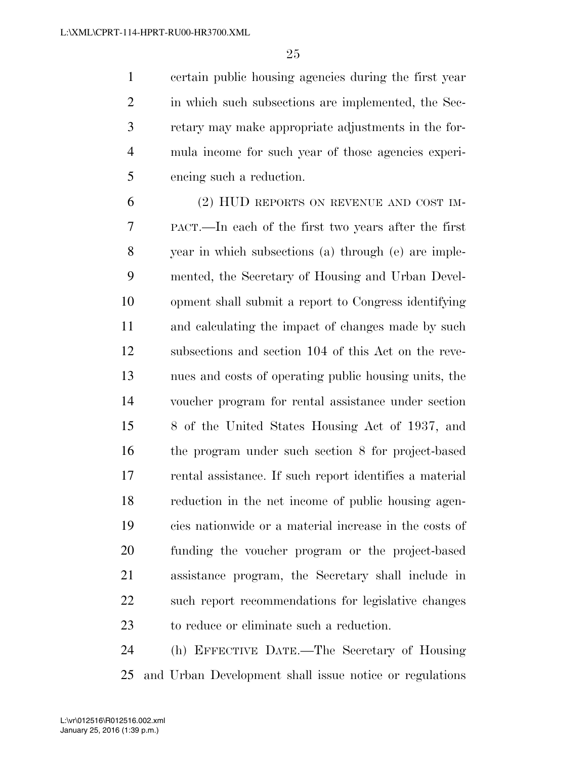certain public housing agencies during the first year 2 in which such subsections are implemented, the Sec- retary may make appropriate adjustments in the for- mula income for such year of those agencies experi-encing such a reduction.

 (2) HUD REPORTS ON REVENUE AND COST IM- PACT.—In each of the first two years after the first year in which subsections (a) through (e) are imple- mented, the Secretary of Housing and Urban Devel- opment shall submit a report to Congress identifying and calculating the impact of changes made by such subsections and section 104 of this Act on the reve- nues and costs of operating public housing units, the voucher program for rental assistance under section 8 of the United States Housing Act of 1937, and the program under such section 8 for project-based rental assistance. If such report identifies a material reduction in the net income of public housing agen- cies nationwide or a material increase in the costs of funding the voucher program or the project-based assistance program, the Secretary shall include in such report recommendations for legislative changes to reduce or eliminate such a reduction.

 (h) EFFECTIVE DATE.—The Secretary of Housing and Urban Development shall issue notice or regulations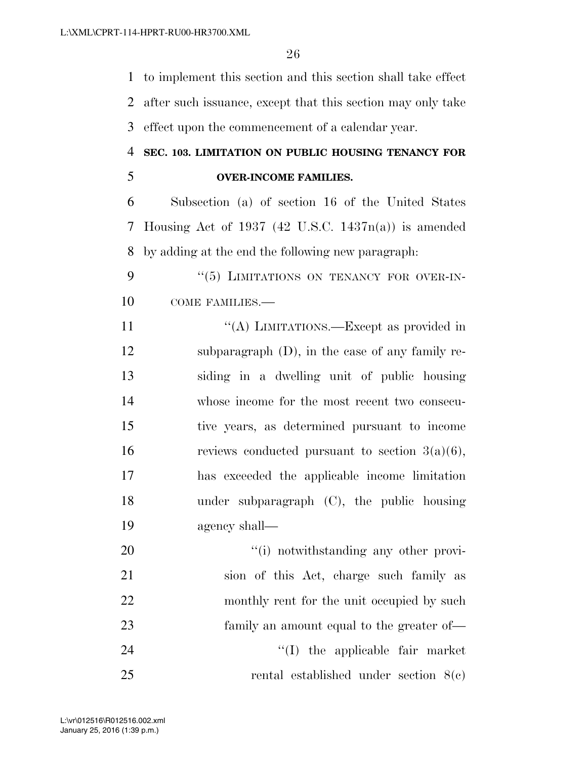to implement this section and this section shall take effect after such issuance, except that this section may only take effect upon the commencement of a calendar year.

## **SEC. 103. LIMITATION ON PUBLIC HOUSING TENANCY FOR OVER-INCOME FAMILIES.**

 Subsection (a) of section 16 of the United States Housing Act of 1937 (42 U.S.C. 1437n(a)) is amended by adding at the end the following new paragraph:

9 "(5) LIMITATIONS ON TENANCY FOR OVER-IN-10 COME FAMILIES.—

11 ""(A) LIMITATIONS.—Except as provided in subparagraph (D), in the case of any family re- siding in a dwelling unit of public housing whose income for the most recent two consecu- tive years, as determined pursuant to income 16 reviews conducted pursuant to section  $3(a)(6)$ , has exceeded the applicable income limitation under subparagraph (C), the public housing agency shall—

 $\frac{1}{1}$  notwithstanding any other provi- sion of this Act, charge such family as 22 monthly rent for the unit occupied by such family an amount equal to the greater of— 24 ''(I) the applicable fair market rental established under section 8(c)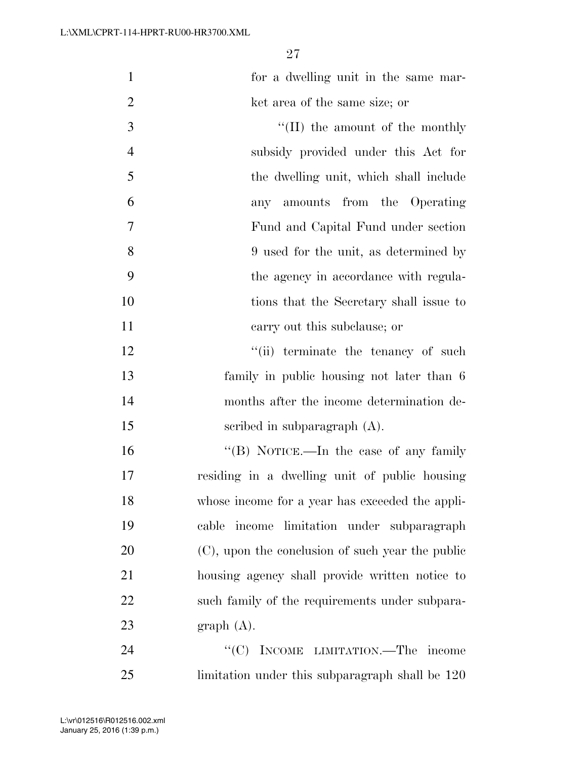| $\mathbf{1}$   | for a dwelling unit in the same mar-             |
|----------------|--------------------------------------------------|
| $\overline{2}$ | ket area of the same size; or                    |
| 3              | $\lq\lq$ (II) the amount of the monthly          |
| $\overline{4}$ | subsidy provided under this Act for              |
| 5              | the dwelling unit, which shall include           |
| 6              | any amounts from the Operating                   |
| 7              | Fund and Capital Fund under section              |
| 8              | 9 used for the unit, as determined by            |
| 9              | the agency in accordance with regula-            |
| 10             | tions that the Secretary shall issue to          |
| 11             | carry out this subclause; or                     |
| 12             | "(ii) terminate the tenancy of such              |
| 13             | family in public housing not later than 6        |
| 14             | months after the income determination de-        |
| 15             | scribed in subparagraph $(A)$ .                  |
| 16             | "(B) NOTICE.—In the case of any family           |
| 17             | residing in a dwelling unit of public housing    |
| 18             | whose income for a year has exceeded the appli-  |
| 19             | income limitation under subparagraph<br>cable    |
| 20             | (C), upon the conclusion of such year the public |
| 21             | housing agency shall provide written notice to   |
| 22             | such family of the requirements under subpara-   |
| 23             | graph(A).                                        |
| 24             | "(C) INCOME LIMITATION.—The income               |
| 25             | limitation under this subparagraph shall be 120  |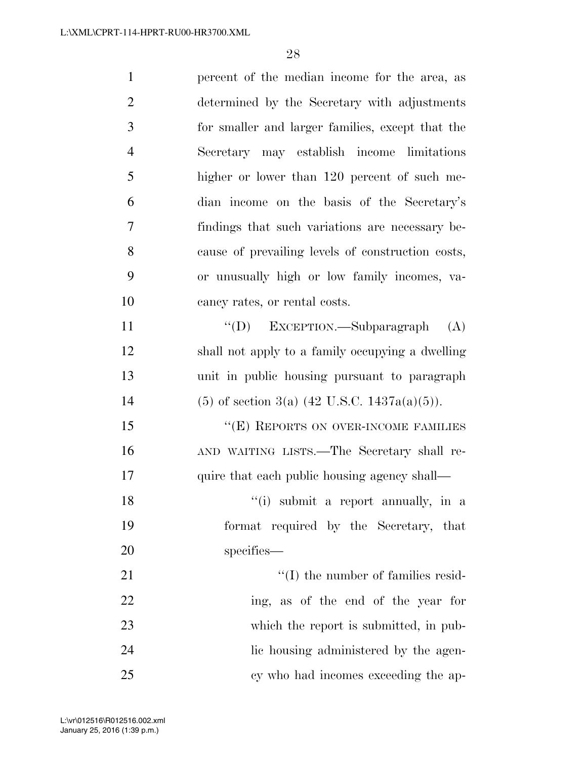| $\mathbf{1}$   | percent of the median income for the area, as     |
|----------------|---------------------------------------------------|
| $\overline{2}$ | determined by the Secretary with adjustments      |
| 3              | for smaller and larger families, except that the  |
| $\overline{4}$ | Secretary may establish income limitations        |
| 5              | higher or lower than 120 percent of such me-      |
| 6              | dian income on the basis of the Secretary's       |
| 7              | findings that such variations are necessary be-   |
| 8              | cause of prevailing levels of construction costs, |
| 9              | or unusually high or low family incomes, va-      |
| 10             | cancy rates, or rental costs.                     |
| 11             | "(D) EXCEPTION.—Subparagraph<br>(A)               |
| 12             | shall not apply to a family occupying a dwelling  |
| 13             | unit in public housing pursuant to paragraph      |
| 14             | $(5)$ of section 3(a) (42 U.S.C. 1437a(a)(5)).    |
| 15             | "(E) REPORTS ON OVER-INCOME FAMILIES              |
| 16             | AND WAITING LISTS.—The Secretary shall re-        |
| 17             | quire that each public housing agency shall—      |
| 18             | "(i) submit a report annually, in a               |
| 19             | format required by the Secretary, that            |
| 20             | specifies—                                        |
| 21             | $\lq\lq$ (I) the number of families resid-        |
| 22             | ing, as of the end of the year for                |
| 23             | which the report is submitted, in pub-            |
| 24             | lic housing administered by the agen-             |
| 25             | cy who had incomes exceeding the ap-              |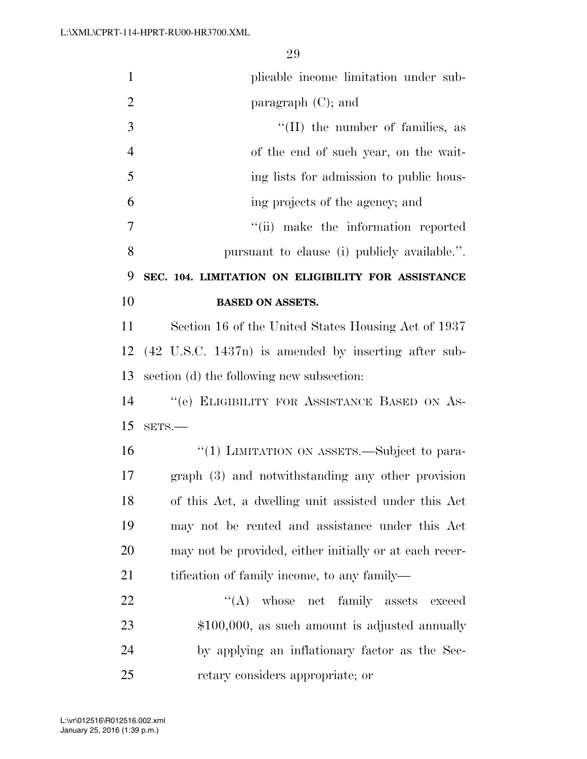| $\mathbf{1}$   | plicable income limitation under sub-                   |
|----------------|---------------------------------------------------------|
| $\overline{2}$ | paragraph (C); and                                      |
| 3              | $\lq\lq$ (II) the number of families, as                |
| $\overline{4}$ | of the end of such year, on the wait-                   |
| 5              | ing lists for admission to public hous-                 |
| 6              | ing projects of the agency; and                         |
| 7              | "(ii) make the information reported                     |
| 8              | pursuant to clause (i) publicly available.".            |
| 9              | SEC. 104. LIMITATION ON ELIGIBILITY FOR ASSISTANCE      |
| 10             | <b>BASED ON ASSETS.</b>                                 |
| 11             | Section 16 of the United States Housing Act of 1937     |
| 12             | (42 U.S.C. 1437n) is amended by inserting after sub-    |
| 13             | section (d) the following new subsection:               |
| 14             | "(e) ELIGIBILITY FOR ASSISTANCE BASED ON AS-            |
| 15             | SETS.-                                                  |
| 16             | "(1) LIMITATION ON ASSETS.—Subject to para-             |
| 17             | graph (3) and notwithstanding any other provision       |
| 18             | of this Act, a dwelling unit assisted under this Act    |
| 19             | may not be rented and assistance under this Act         |
| 20             | may not be provided, either initially or at each recer- |
| 21             | tification of family income, to any family—             |
| 22             | $\lq\lq$ whose net family assets<br>exceed              |
| 23             | $$100,000$ , as such amount is adjusted annually        |
| 24             | by applying an inflationary factor as the Sec-          |
| 25             | retary considers appropriate; or                        |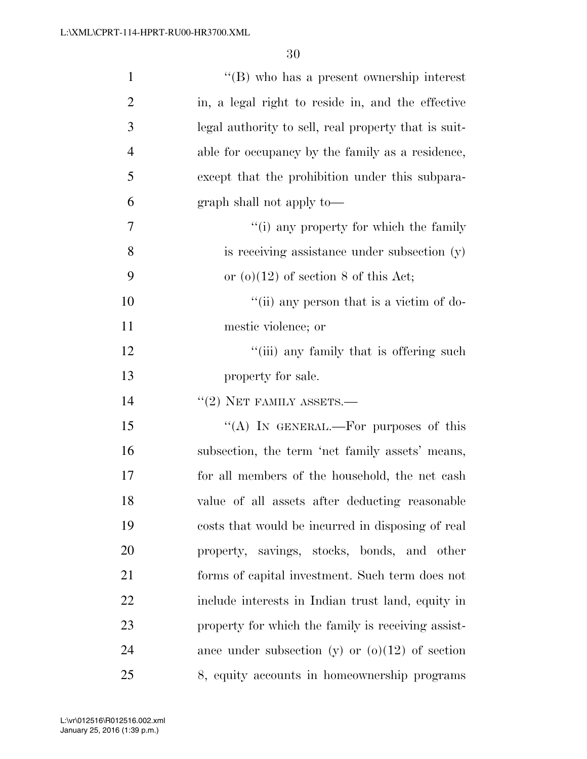| $\mathbf{1}$   | $\lq\lq (B)$ who has a present ownership interest    |
|----------------|------------------------------------------------------|
| $\overline{2}$ | in, a legal right to reside in, and the effective    |
| 3              | legal authority to sell, real property that is suit- |
| 4              | able for occupancy by the family as a residence,     |
| 5              | except that the prohibition under this subpara-      |
| 6              | graph shall not apply to—                            |
| $\overline{7}$ | "(i) any property for which the family               |
| 8              | is receiving assistance under subsection (y)         |
| 9              | or $(o)(12)$ of section 8 of this Act;               |
| 10             | "(ii) any person that is a victim of do-             |
| 11             | mestic violence; or                                  |
| 12             | "(iii) any family that is offering such              |
| 13             | property for sale.                                   |
| 14             | $``(2)$ NET FAMILY ASSETS.—                          |
|                |                                                      |
| 15             | "(A) IN GENERAL.—For purposes of this                |
| 16             | subsection, the term 'net family assets' means,      |
| 17             | for all members of the household, the net cash       |
| 18             | value of all assets after deducting reasonable       |
| 19             | costs that would be incurred in disposing of real    |
| <b>20</b>      | property, savings, stocks, bonds, and other          |
| 21             | forms of capital investment. Such term does not      |
| 22             | include interests in Indian trust land, equity in    |
| 23             | property for which the family is receiving assist-   |
| 24             | ance under subsection (y) or $(o)(12)$ of section    |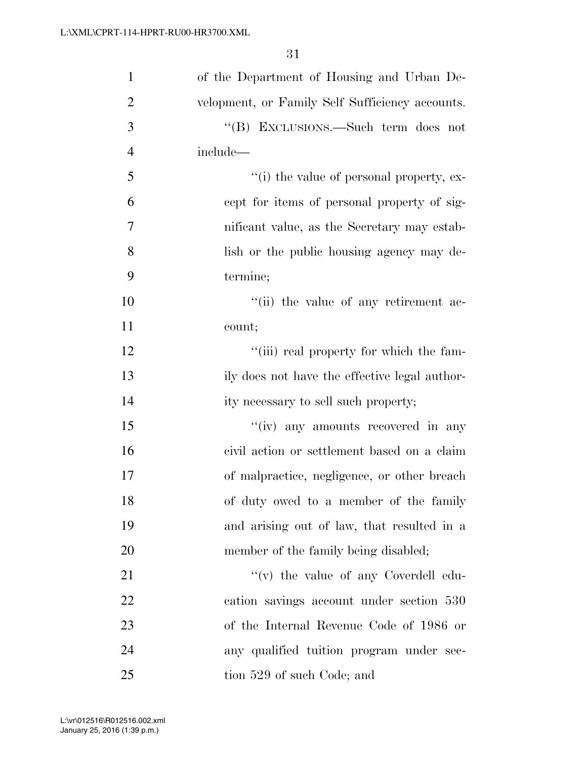| $\mathbf{1}$   | of the Department of Housing and Urban De-      |
|----------------|-------------------------------------------------|
| $\overline{2}$ | velopment, or Family Self Sufficiency accounts. |
| 3              | "(B) EXCLUSIONS.—Such term does not             |
| $\overline{4}$ | include—                                        |
| 5              | $``(i)$ the value of personal property, ex-     |
| 6              | cept for items of personal property of sig-     |
| $\overline{7}$ | nificant value, as the Secretary may estab-     |
| 8              | lish or the public housing agency may de-       |
| 9              | termine;                                        |
| 10             | "(ii) the value of any retirement ac-           |
| 11             | count;                                          |
| 12             | "(iii) real property for which the fam-         |
| 13             | ily does not have the effective legal author-   |
| 14             | ity necessary to sell such property;            |
| 15             | "(iv) any amounts recovered in any              |
| 16             | civil action or settlement based on a claim     |
| 17             | of malpractice, negligence, or other breach     |
| 18             | of duty owed to a member of the family          |
| 19             | and arising out of law, that resulted in a      |
| 20             | member of the family being disabled;            |
| 21             | "(v) the value of any Coverdell edu-            |
| 22             | cation savings account under section 530        |
| 23             | of the Internal Revenue Code of 1986 or         |
| 24             | any qualified tuition program under sec-        |
| 25             | tion 529 of such Code; and                      |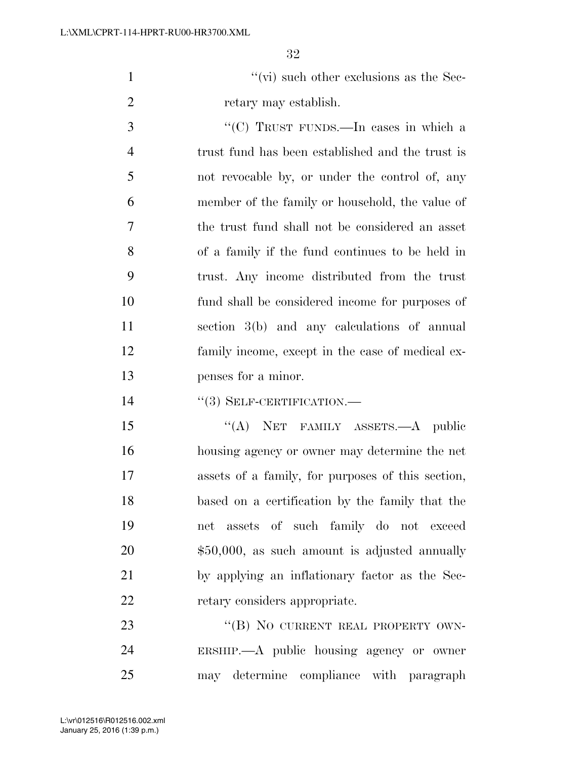1  $''(\vec{v})$  such other exclusions as the Sec-retary may establish.

 ''(C) TRUST FUNDS.—In cases in which a trust fund has been established and the trust is not revocable by, or under the control of, any member of the family or household, the value of the trust fund shall not be considered an asset of a family if the fund continues to be held in trust. Any income distributed from the trust fund shall be considered income for purposes of section 3(b) and any calculations of annual family income, except in the case of medical ex-penses for a minor.

14  $((3)$  SELF-CERTIFICATION.

15 "(A) NET FAMILY ASSETS.—A public housing agency or owner may determine the net assets of a family, for purposes of this section, based on a certification by the family that the net assets of such family do not exceed \$50,000, as such amount is adjusted annually by applying an inflationary factor as the Sec-22 retary considers appropriate.

23 "(B) NO CURRENT REAL PROPERTY OWN- ERSHIP.—A public housing agency or owner may determine compliance with paragraph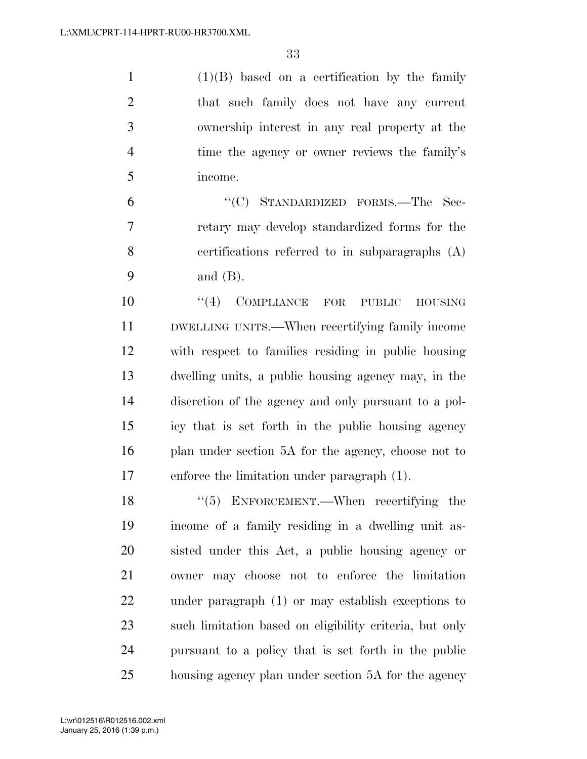(1)(B) based on a certification by the family that such family does not have any current ownership interest in any real property at the 4 time the agency or owner reviews the family's income.

 ''(C) STANDARDIZED FORMS.—The Sec- retary may develop standardized forms for the certifications referred to in subparagraphs (A) and (B).

 $(4)$  COMPLIANCE FOR PUBLIC HOUSING DWELLING UNITS.—When recertifying family income with respect to families residing in public housing dwelling units, a public housing agency may, in the discretion of the agency and only pursuant to a pol- icy that is set forth in the public housing agency plan under section 5A for the agency, choose not to enforce the limitation under paragraph (1).

18 "(5) ENFORCEMENT.—When recertifying the income of a family residing in a dwelling unit as- sisted under this Act, a public housing agency or owner may choose not to enforce the limitation under paragraph (1) or may establish exceptions to such limitation based on eligibility criteria, but only pursuant to a policy that is set forth in the public housing agency plan under section 5A for the agency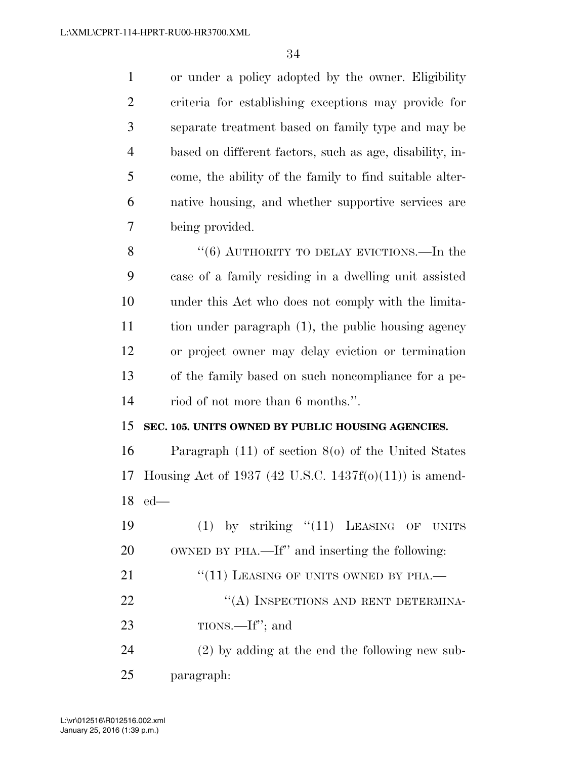or under a policy adopted by the owner. Eligibility criteria for establishing exceptions may provide for separate treatment based on family type and may be based on different factors, such as age, disability, in- come, the ability of the family to find suitable alter- native housing, and whether supportive services are being provided.

8 "(6) AUTHORITY TO DELAY EVICTIONS.—In the case of a family residing in a dwelling unit assisted under this Act who does not comply with the limita- tion under paragraph (1), the public housing agency or project owner may delay eviction or termination of the family based on such noncompliance for a pe-riod of not more than 6 months.''.

#### **SEC. 105. UNITS OWNED BY PUBLIC HOUSING AGENCIES.**

 Paragraph (11) of section 8(o) of the United States Housing Act of 1937 (42 U.S.C. 1437f(o)(11)) is amend-ed—

19 (1) by striking "(11) LEASING OF UNITS OWNED BY PHA.—If'' and inserting the following: 21 "(11) LEASING OF UNITS OWNED BY PHA.— 22 "(A) INSPECTIONS AND RENT DETERMINA- TIONS.—If''; and (2) by adding at the end the following new sub-paragraph: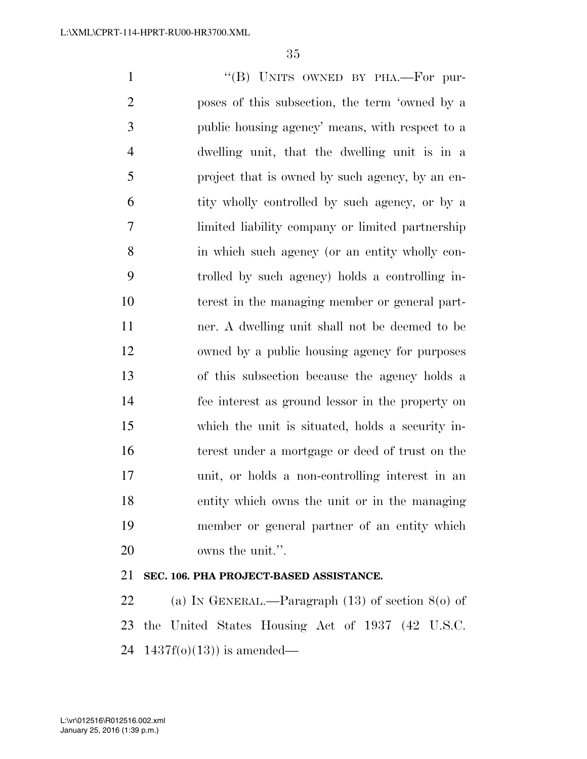1 "(B) UNITS OWNED BY PHA.—For pur- poses of this subsection, the term 'owned by a public housing agency' means, with respect to a dwelling unit, that the dwelling unit is in a project that is owned by such agency, by an en- tity wholly controlled by such agency, or by a limited liability company or limited partnership in which such agency (or an entity wholly con- trolled by such agency) holds a controlling in- terest in the managing member or general part- ner. A dwelling unit shall not be deemed to be owned by a public housing agency for purposes of this subsection because the agency holds a fee interest as ground lessor in the property on which the unit is situated, holds a security in- terest under a mortgage or deed of trust on the unit, or holds a non-controlling interest in an entity which owns the unit or in the managing member or general partner of an entity which owns the unit.''.

## **SEC. 106. PHA PROJECT-BASED ASSISTANCE.**

 (a) IN GENERAL.—Paragraph (13) of section 8(o) of the United States Housing Act of 1937 (42 U.S.C. 24  $1437f(0)(13)$  is amended—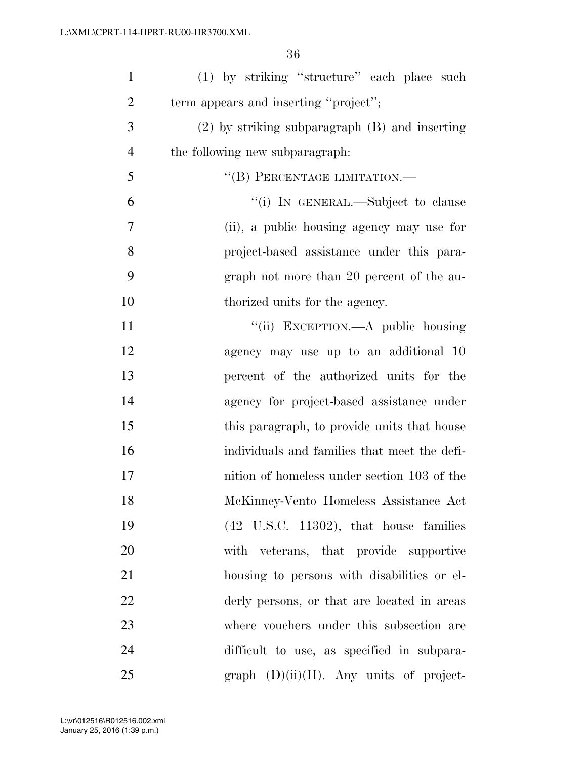| $\mathbf{1}$   | (1) by striking "structure" each place such        |
|----------------|----------------------------------------------------|
| $\overline{2}$ | term appears and inserting "project";              |
| 3              | $(2)$ by striking subparagraph $(B)$ and inserting |
| $\overline{4}$ | the following new subparagraph.                    |
| 5              | "(B) PERCENTAGE LIMITATION.-                       |
| 6              | "(i) IN GENERAL.—Subject to clause                 |
| 7              | (ii), a public housing agency may use for          |
| 8              | project-based assistance under this para-          |
| 9              | graph not more than 20 percent of the au-          |
| 10             | thorized units for the agency.                     |
| 11             | "(ii) EXCEPTION.—A public housing                  |
| 12             | agency may use up to an additional 10              |
| 13             | percent of the authorized units for the            |
| 14             | agency for project-based assistance under          |
| 15             | this paragraph, to provide units that house        |
| 16             | individuals and families that meet the defi-       |
| 17             | nition of homeless under section 103 of the        |
| 18             | McKinney-Vento Homeless Assistance Act             |
| 19             | $(42 \text{ U.S.C. } 11302)$ , that house families |
| 20             | with veterans, that provide supportive             |
| 21             | housing to persons with disabilities or el-        |
| 22             | derly persons, or that are located in areas        |
| 23             | where vouchers under this subsection are           |
| 24             | difficult to use, as specified in subpara-         |
| 25             | $graph (D)(ii)(II)$ . Any units of project-        |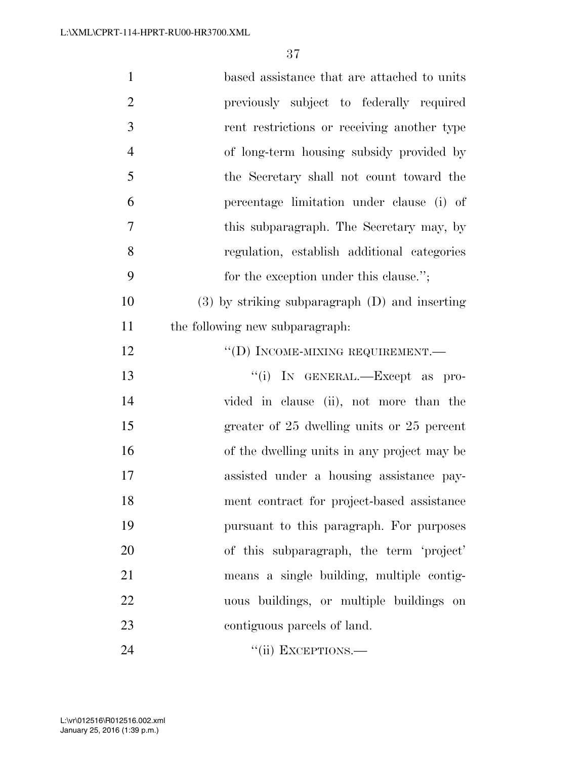| $\mathbf{1}$   | based assistance that are attached to units        |
|----------------|----------------------------------------------------|
| $\overline{2}$ | previously subject to federally required           |
| 3              | rent restrictions or receiving another type        |
| $\overline{4}$ | of long-term housing subsidy provided by           |
| 5              | the Secretary shall not count toward the           |
| 6              | percentage limitation under clause (i) of          |
| 7              | this subparagraph. The Secretary may, by           |
| 8              | regulation, establish additional categories        |
| 9              | for the exception under this clause.";             |
| 10             | $(3)$ by striking subparagraph $(D)$ and inserting |
| 11             | the following new subparagraph.                    |
| 12             | "(D) INCOME-MIXING REQUIREMENT.—                   |
| 13             | "(i) IN GENERAL.—Except as pro-                    |
| 14             | vided in clause (ii), not more than the            |
| 15             | greater of 25 dwelling units or 25 percent         |
| 16             | of the dwelling units in any project may be        |
| 17             | assisted under a housing assistance pay-           |
| 18             | ment contract for project-based assistance         |
| 19             | pursuant to this paragraph. For purposes           |
| 20             | of this subparagraph, the term 'project'           |
| 21             | means a single building, multiple contig-          |
| 22             | uous buildings, or multiple buildings on           |
| 23             | contiguous parcels of land.                        |
| 24             | "(ii) EXCEPTIONS.—                                 |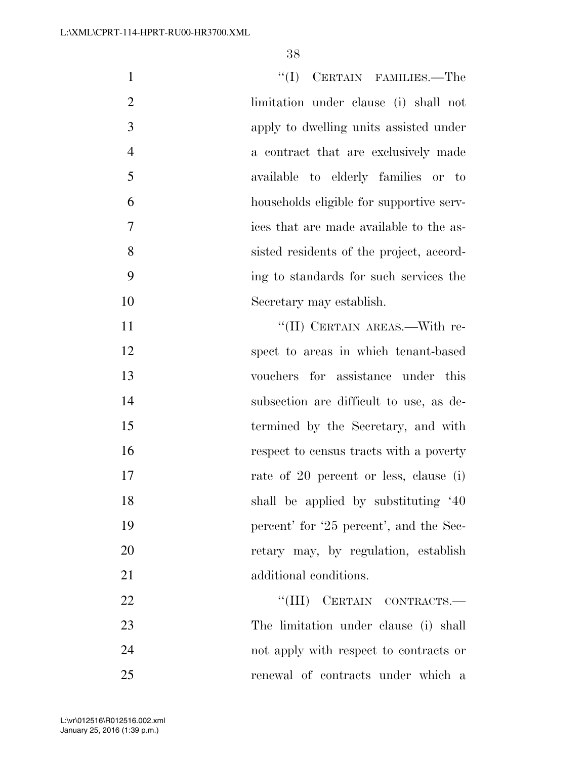| $\mathbf{1}$   | ``(I)<br>CERTAIN FAMILIES.—The           |
|----------------|------------------------------------------|
| $\overline{2}$ | limitation under clause (i) shall not    |
| 3              | apply to dwelling units assisted under   |
| $\overline{4}$ | a contract that are exclusively made     |
| 5              | available to elderly families or to      |
| 6              | households eligible for supportive serv- |
| 7              | ices that are made available to the as-  |
| 8              | sisted residents of the project, accord- |
| 9              | ing to standards for such services the   |
| 10             | Secretary may establish.                 |
| 11             | "(II) CERTAIN AREAS.—With re-            |
| 12             | spect to areas in which tenant-based     |
| 13             | vouchers for assistance under this       |
| 14             | subsection are difficult to use, as de-  |
| 15             | termined by the Secretary, and with      |
| 16             | respect to census tracts with a poverty  |
| 17             | rate of 20 percent or less, clause (i)   |
| 18             | shall be applied by substituting '40     |
| 19             | percent' for '25 percent', and the Sec-  |
| 20             | retary may, by regulation, establish     |
| 21             | additional conditions.                   |
| 22             | "(III) CERTAIN CONTRACTS.-               |
| 23             | The limitation under clause (i) shall    |
| 24             | not apply with respect to contracts or   |
| 25             | renewal of contracts under which a       |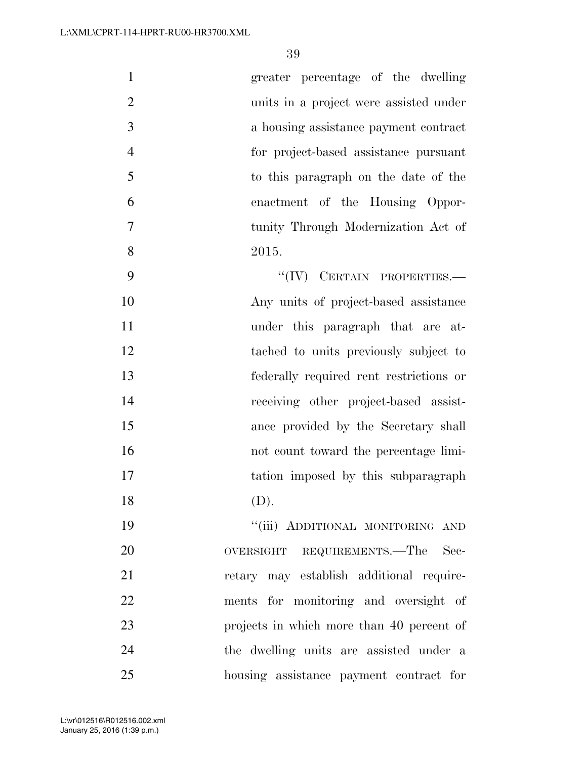| $\mathbf{1}$   | greater percentage of the dwelling      |
|----------------|-----------------------------------------|
| $\overline{2}$ | units in a project were assisted under  |
| 3              | a housing assistance payment contract   |
| $\overline{4}$ | for project-based assistance pursuant   |
| 5              | to this paragraph on the date of the    |
| 6              | enactment of the Housing Oppor-         |
| $\overline{7}$ | tunity Through Modernization Act of     |
| 8              | 2015.                                   |
| 9              | $``(IV)$ CERTAIN PROPERTIES.—           |
| 10             | Any units of project-based assistance   |
| 11             | under this paragraph that are at-       |
| 12             | tached to units previously subject to   |
| 13             | federally required rent restrictions or |
|                |                                         |

 receiving other project-based assist- ance provided by the Secretary shall not count toward the percentage limi-17 tation imposed by this subparagraph (D).

 ''(iii) ADDITIONAL MONITORING AND 20 OVERSIGHT REQUIREMENTS.—The Sec- retary may establish additional require- ments for monitoring and oversight of projects in which more than 40 percent of the dwelling units are assisted under a housing assistance payment contract for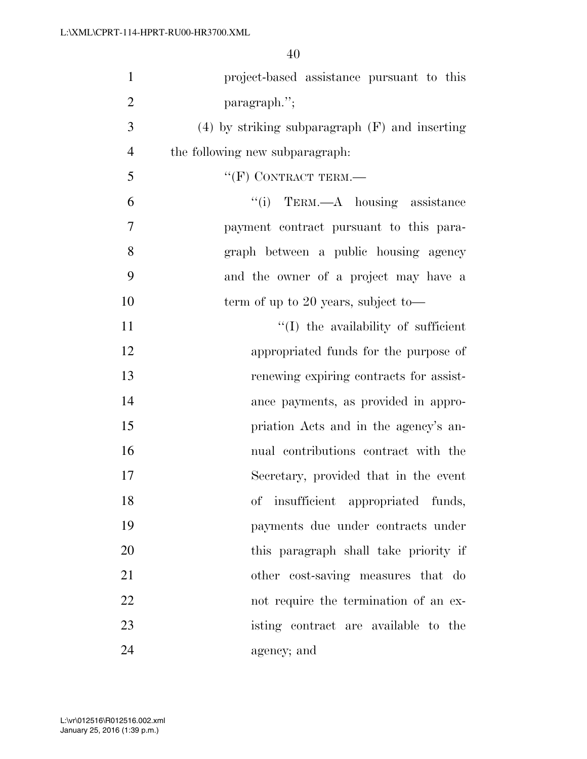| $\mathbf{1}$   | project-based assistance pursuant to this          |
|----------------|----------------------------------------------------|
| $\overline{2}$ | paragraph.";                                       |
| 3              | $(4)$ by striking subparagraph $(F)$ and inserting |
| $\overline{4}$ | the following new subparagraph.                    |
| 5              | $``$ (F) CONTRACT TERM.—                           |
| 6              | $``(i)$ TERM.—A housing assistance                 |
| 7              | payment contract pursuant to this para-            |
| 8              | graph between a public housing agency              |
| 9              | and the owner of a project may have a              |
| 10             | term of up to 20 years, subject to-                |
| 11             | "(I) the availability of sufficient                |
| 12             | appropriated funds for the purpose of              |
| 13             | renewing expiring contracts for assist-            |
| 14             | ance payments, as provided in appro-               |
| 15             | priation Acts and in the agency's an-              |
| 16             | nual contributions contract with the               |
| 17             | Secretary, provided that in the event              |
| 18             | of insufficient appropriated funds,                |
| 19             | payments due under contracts under                 |
| 20             | this paragraph shall take priority if              |
| 21             | other cost-saving measures that do                 |
| 22             | not require the termination of an ex-              |
| 23             | isting contract are available to the               |
| 24             | agency; and                                        |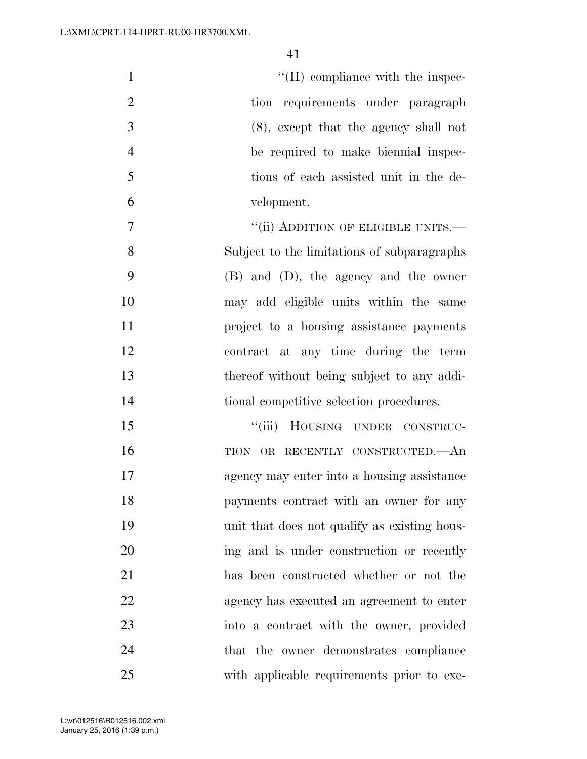| $\mathbf{1}$   | $\lq\lq$ (II) compliance with the inspec-    |
|----------------|----------------------------------------------|
| $\overline{2}$ | tion requirements under paragraph            |
| 3              | $(8)$ , except that the agency shall not     |
| $\overline{4}$ | be required to make biennial inspec-         |
| 5              | tions of each assisted unit in the de-       |
| 6              | velopment.                                   |
| $\overline{7}$ | "(ii) ADDITION OF ELIGIBLE UNITS.—           |
| 8              | Subject to the limitations of subparagraphs  |
| 9              | (B) and (D), the agency and the owner        |
| 10             | may add eligible units within the same       |
| 11             | project to a housing assistance payments     |
| 12             | contract at any time during the term         |
| 13             | thereof without being subject to any addi-   |
| 14             | tional competitive selection procedures.     |
| 15             | "(iii) HOUSING UNDER CONSTRUC-               |
| 16             | TION OR RECENTLY CONSTRUCTED.—An             |
| 17             | agency may enter into a housing assistance   |
| 18             | payments contract with an owner for any      |
| 19             | unit that does not qualify as existing hous- |
| 20             | ing and is under construction or recently    |
| 21             | has been constructed whether or not the      |
| 22             | agency has executed an agreement to enter    |
| 23             | into a contract with the owner, provided     |
| 24             | that the owner demonstrates compliance       |
| 25             | with applicable requirements prior to exe-   |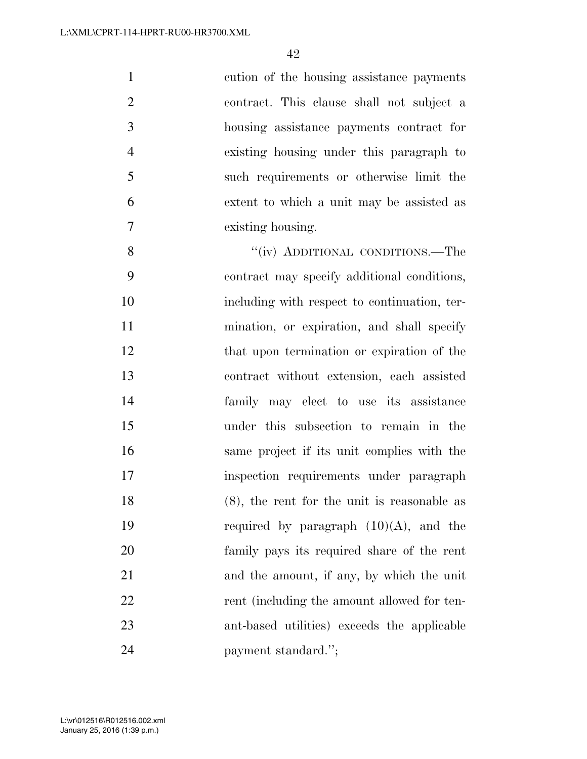| $\mathbf{1}$   | cution of the housing assistance payments      |
|----------------|------------------------------------------------|
| $\overline{2}$ | contract. This clause shall not subject a      |
| 3              | housing assistance payments contract for       |
| $\overline{4}$ | existing housing under this paragraph to       |
| 5              | such requirements or otherwise limit the       |
| 6              | extent to which a unit may be assisted as      |
| $\overline{7}$ | existing housing.                              |
| 8              | "(iv) ADDITIONAL CONDITIONS.—The               |
| 9              | contract may specify additional conditions,    |
| 10             | including with respect to continuation, ter-   |
| 11             | mination, or expiration, and shall specify     |
| 12             | that upon termination or expiration of the     |
| 13             | contract without extension, each assisted      |
| 14             | family may elect to use its assistance         |
| 15             | under this subsection to remain in the         |
| 16             | same project if its unit complies with the     |
| 17             | inspection requirements under paragraph        |
| 18             | $(8)$ , the rent for the unit is reasonable as |
| 19             | required by paragraph $(10)(A)$ , and the      |
| 20             | family pays its required share of the rent     |
| 21             | and the amount, if any, by which the unit      |
| 22             | rent (including the amount allowed for ten-    |
| 23             | ant-based utilities) exceeds the applicable    |
| 24             | payment standard.";                            |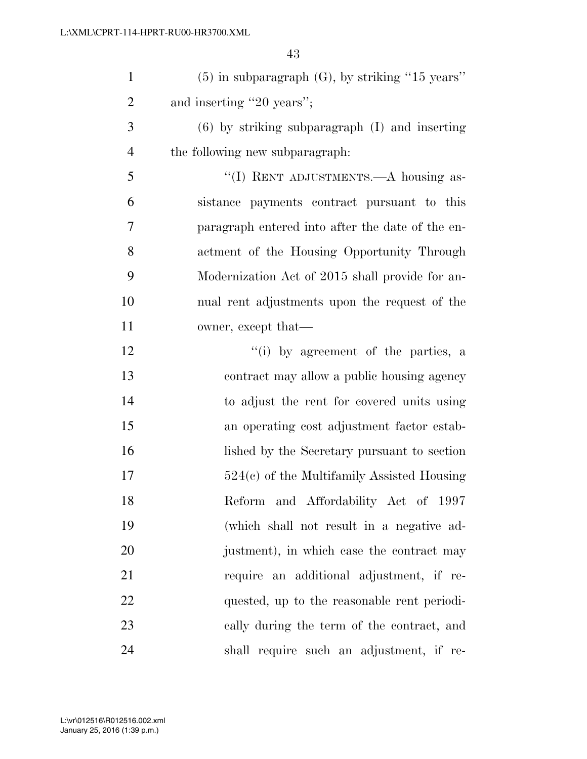| $\mathbf{1}$   | $(5)$ in subparagraph $(G)$ , by striking "15 years" |
|----------------|------------------------------------------------------|
| $\overline{2}$ | and inserting "20 years";                            |
| 3              | $(6)$ by striking subparagraph $(I)$ and inserting   |
| $\overline{4}$ | the following new subparagraph.                      |
| 5              | "(I) RENT ADJUSTMENTS.—A housing as-                 |
| 6              | sistance payments contract pursuant to this          |
| $\overline{7}$ | paragraph entered into after the date of the en-     |
| 8              | actment of the Housing Opportunity Through           |
| 9              | Modernization Act of 2015 shall provide for an-      |
| 10             | nual rent adjustments upon the request of the        |
| 11             | owner, except that—                                  |
| 12             | "(i) by agreement of the parties, a                  |
| 13             | contract may allow a public housing agency           |
| 14             | to adjust the rent for covered units using           |
| 15             | an operating cost adjustment factor estab-           |
| 16             | lished by the Secretary pursuant to section          |
| 17             | $524(c)$ of the Multifamily Assisted Housing         |
| 18             | Reform and Affordability Act of 1997                 |
| 19             | (which shall not result in a negative ad-            |
| 20             | justment), in which case the contract may            |
| 21             | require an additional adjustment, if re-             |
| 22             | quested, up to the reasonable rent periodi-          |
| 23             | cally during the term of the contract, and           |
| 24             | shall require such an adjustment, if re-             |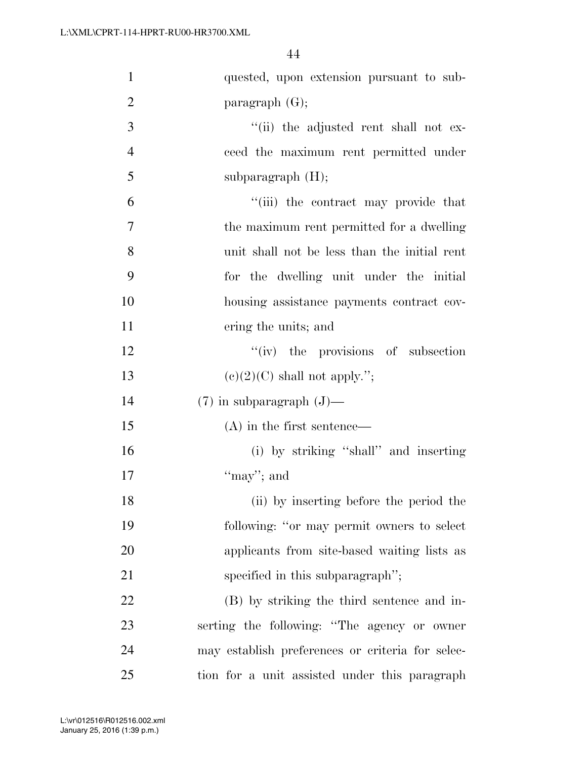| $\mathbf{1}$   | quested, upon extension pursuant to sub-         |
|----------------|--------------------------------------------------|
| $\overline{2}$ | paragraph $(G)$ ;                                |
| 3              | "(ii) the adjusted rent shall not ex-            |
| $\overline{4}$ | ceed the maximum rent permitted under            |
| 5              | subparagraph $(H)$ ;                             |
| 6              | "(iii) the contract may provide that             |
| $\overline{7}$ | the maximum rent permitted for a dwelling        |
| 8              | unit shall not be less than the initial rent     |
| 9              | for the dwelling unit under the initial          |
| 10             | housing assistance payments contract cov-        |
| 11             | ering the units; and                             |
| 12             | $f'(iv)$ the provisions of subsection            |
| 13             | $(e)(2)(C)$ shall not apply.";                   |
| 14             | $(7)$ in subparagraph $(J)$ —                    |
| 15             | $(A)$ in the first sentence—                     |
| 16             | (i) by striking "shall" and inserting            |
| 17             | "may"; and                                       |
| 18             | (ii) by inserting before the period the          |
| 19             | following: "or may permit owners to select       |
| 20             | applicants from site-based waiting lists as      |
| 21             | specified in this subparagraph";                 |
| 22             | (B) by striking the third sentence and in-       |
| 23             | serting the following: "The agency or owner      |
| 24             | may establish preferences or criteria for selec- |
| 25             | tion for a unit assisted under this paragraph    |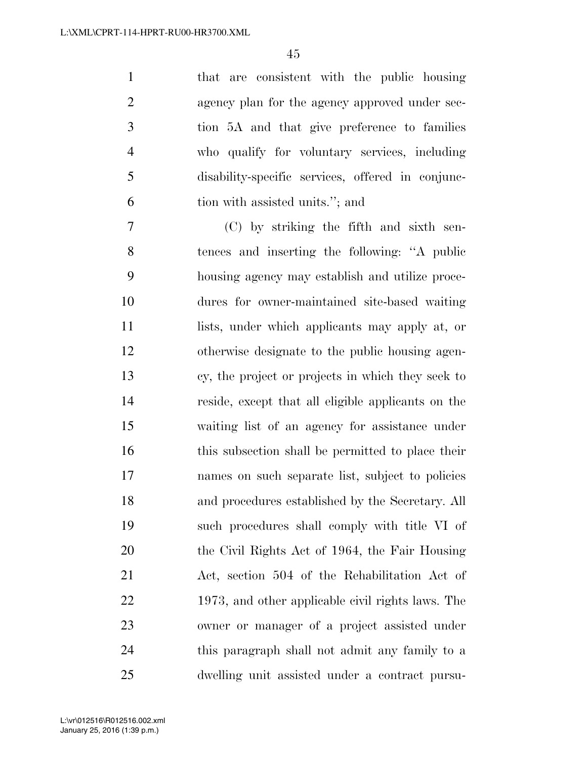that are consistent with the public housing 2 agency plan for the agency approved under sec- tion 5A and that give preference to families who qualify for voluntary services, including disability-specific services, offered in conjunc-tion with assisted units.''; and

 (C) by striking the fifth and sixth sen- tences and inserting the following: ''A public housing agency may establish and utilize proce- dures for owner-maintained site-based waiting lists, under which applicants may apply at, or otherwise designate to the public housing agen- cy, the project or projects in which they seek to reside, except that all eligible applicants on the waiting list of an agency for assistance under 16 this subsection shall be permitted to place their names on such separate list, subject to policies and procedures established by the Secretary. All such procedures shall comply with title VI of the Civil Rights Act of 1964, the Fair Housing Act, section 504 of the Rehabilitation Act of 1973, and other applicable civil rights laws. The owner or manager of a project assisted under this paragraph shall not admit any family to a dwelling unit assisted under a contract pursu-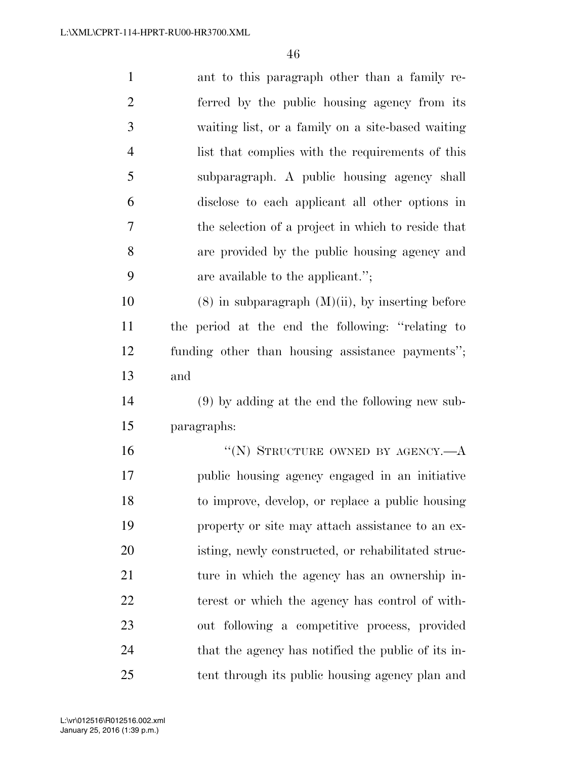| $\mathbf{1}$   | ant to this paragraph other than a family re-         |
|----------------|-------------------------------------------------------|
| $\overline{2}$ | ferred by the public housing agency from its          |
| 3              | waiting list, or a family on a site-based waiting     |
| $\overline{4}$ | list that complies with the requirements of this      |
| 5              | subparagraph. A public housing agency shall           |
| 6              | disclose to each applicant all other options in       |
| 7              | the selection of a project in which to reside that    |
| 8              | are provided by the public housing agency and         |
| 9              | are available to the applicant.";                     |
| 10             | $(8)$ in subparagraph $(M)(ii)$ , by inserting before |
| 11             | the period at the end the following: "relating to     |
| 12             | funding other than housing assistance payments";      |
| 13             | and                                                   |
| 14             | $(9)$ by adding at the end the following new sub-     |
| 15             | paragraphs:                                           |
| 16             | "(N) STRUCTURE OWNED BY AGENCY.— $A$                  |
| 17             | public housing agency engaged in an initiative        |
| 18             | to improve, develop, or replace a public housing      |
| 19             | property or site may attach assistance to an ex-      |
| 20             | isting, newly constructed, or rehabilitated struc-    |
| 21             | ture in which the agency has an ownership in-         |
| 22             | terest or which the agency has control of with-       |
| 23             | out following a competitive process, provided         |
| 24             | that the agency has notified the public of its in-    |
| 25             | tent through its public housing agency plan and       |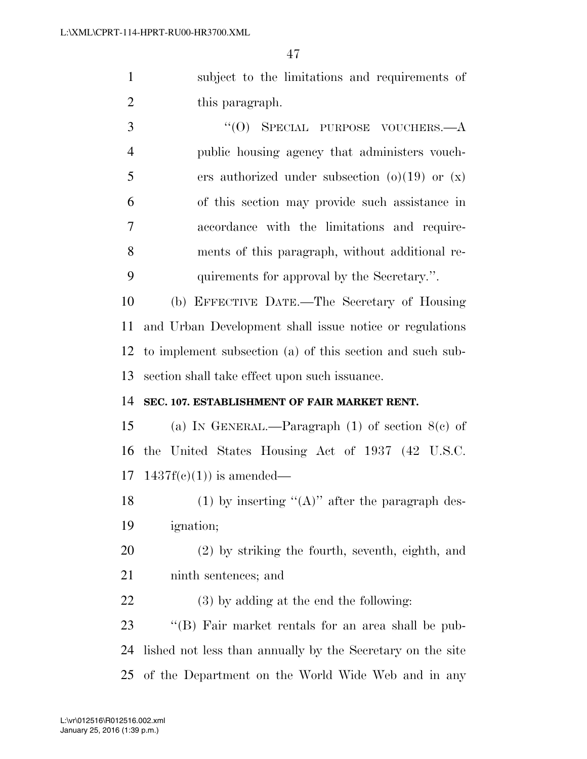subject to the limitations and requirements of 2 this paragraph.

3 "(0) SPECIAL PURPOSE VOUCHERS.—A public housing agency that administers vouch-5 ers authorized under subsection  $(0)(19)$  or  $(x)$  of this section may provide such assistance in accordance with the limitations and require- ments of this paragraph, without additional re-quirements for approval by the Secretary.''.

 (b) EFFECTIVE DATE.—The Secretary of Housing and Urban Development shall issue notice or regulations to implement subsection (a) of this section and such sub-section shall take effect upon such issuance.

#### **SEC. 107. ESTABLISHMENT OF FAIR MARKET RENT.**

 (a) IN GENERAL.—Paragraph (1) of section 8(c) of the United States Housing Act of 1937 (42 U.S.C.  $17 \quad 1437f(c)(1)$  is amended—

18 (1) by inserting " $(A)$ " after the paragraph des-ignation;

 (2) by striking the fourth, seventh, eighth, and ninth sentences; and

(3) by adding at the end the following:

 ''(B) Fair market rentals for an area shall be pub- lished not less than annually by the Secretary on the site of the Department on the World Wide Web and in any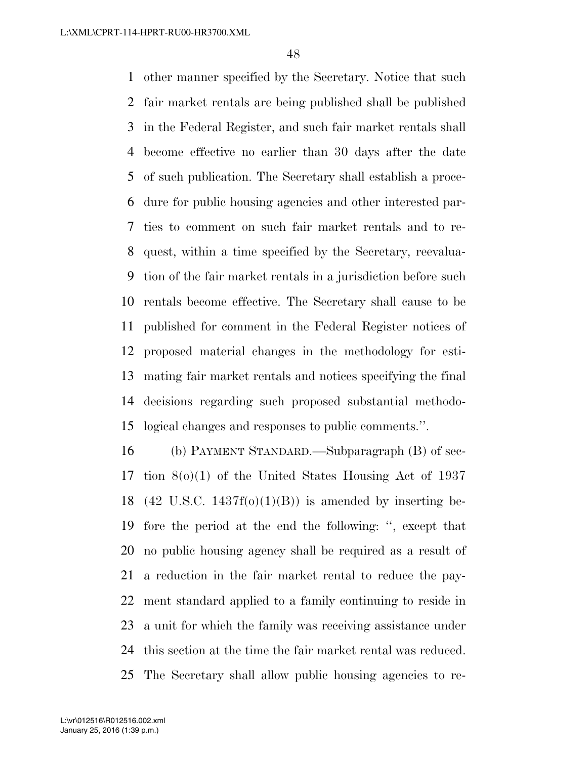other manner specified by the Secretary. Notice that such fair market rentals are being published shall be published in the Federal Register, and such fair market rentals shall become effective no earlier than 30 days after the date of such publication. The Secretary shall establish a proce- dure for public housing agencies and other interested par- ties to comment on such fair market rentals and to re- quest, within a time specified by the Secretary, reevalua- tion of the fair market rentals in a jurisdiction before such rentals become effective. The Secretary shall cause to be published for comment in the Federal Register notices of proposed material changes in the methodology for esti- mating fair market rentals and notices specifying the final decisions regarding such proposed substantial methodo-logical changes and responses to public comments.''.

 (b) PAYMENT STANDARD.—Subparagraph (B) of sec- tion 8(o)(1) of the United States Housing Act of 1937 18 (42 U.S.C. 1437f(o)(1)(B)) is amended by inserting be- fore the period at the end the following: '', except that no public housing agency shall be required as a result of a reduction in the fair market rental to reduce the pay- ment standard applied to a family continuing to reside in a unit for which the family was receiving assistance under this section at the time the fair market rental was reduced. The Secretary shall allow public housing agencies to re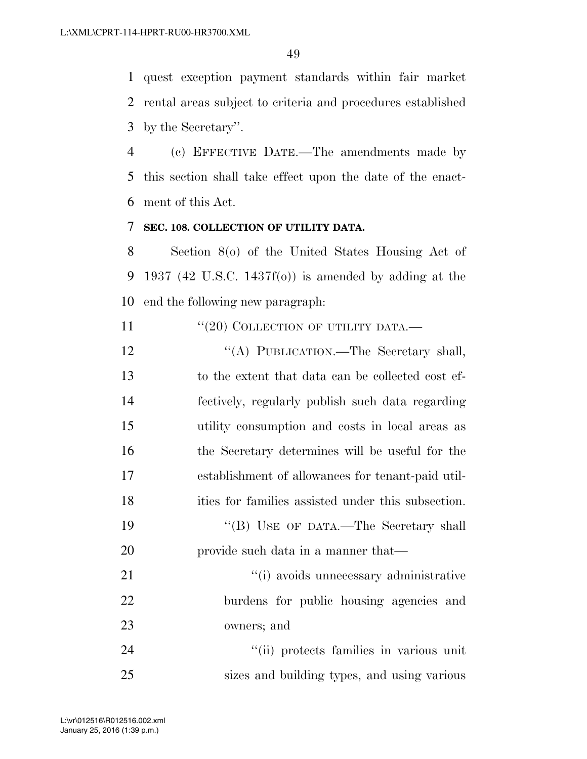quest exception payment standards within fair market rental areas subject to criteria and procedures established by the Secretary''.

 (c) EFFECTIVE DATE.—The amendments made by this section shall take effect upon the date of the enact-ment of this Act.

#### **SEC. 108. COLLECTION OF UTILITY DATA.**

 Section 8(o) of the United States Housing Act of 1937 (42 U.S.C. 1437f(o)) is amended by adding at the end the following new paragraph:

11 "(20) COLLECTION OF UTILITY DATA.—

12 "(A) PUBLICATION.—The Secretary shall, to the extent that data can be collected cost ef- fectively, regularly publish such data regarding utility consumption and costs in local areas as the Secretary determines will be useful for the establishment of allowances for tenant-paid util- ities for families assisted under this subsection. 19 "'(B) USE OF DATA.—The Secretary shall provide such data in a manner that—  $\frac{1}{2}$   $\frac{1}{2}$  avoids unnecessary administrative burdens for public housing agencies and owners; and 24 ''(ii) protects families in various unit

sizes and building types, and using various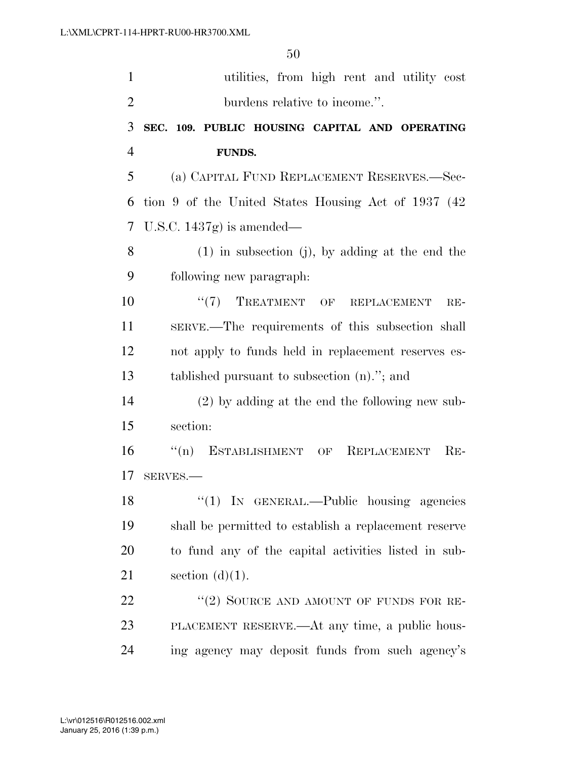| $\mathbf{1}$             | utilities, from high rent and utility cost            |
|--------------------------|-------------------------------------------------------|
| $\overline{2}$           | burdens relative to income.".                         |
| 3                        | SEC. 109. PUBLIC HOUSING CAPITAL AND OPERATING        |
| 4                        | <b>FUNDS.</b>                                         |
| 5                        | (a) CAPITAL FUND REPLACEMENT RESERVES.—Sec-           |
| 6                        | tion 9 of the United States Housing Act of 1937 (42)  |
| $\overline{\mathcal{L}}$ | U.S.C. $1437g$ is amended—                            |
| 8                        | $(1)$ in subsection (j), by adding at the end the     |
| 9                        | following new paragraph:                              |
| 10                       | "(7) TREATMENT OF REPLACEMENT<br>$RE-$                |
| 11                       | SERVE.—The requirements of this subsection shall      |
| 12                       | not apply to funds held in replacement reserves es-   |
| 13                       | tablished pursuant to subsection $(n)$ ."; and        |
| 14                       | $(2)$ by adding at the end the following new sub-     |
| 15                       | section:                                              |
| 16                       | "(n) ESTABLISHMENT OF REPLACEMENT<br>$RE-$            |
| 17                       | SERVES.-                                              |
| 18                       | "(1) IN GENERAL.—Public housing agencies              |
| 19                       | shall be permitted to establish a replacement reserve |
| <b>20</b>                | to fund any of the capital activities listed in sub-  |
| 21                       | section $(d)(1)$ .                                    |
| 22                       | "(2) SOURCE AND AMOUNT OF FUNDS FOR RE-               |
| 23                       | PLACEMENT RESERVE.—At any time, a public hous-        |
| 24                       | ing agency may deposit funds from such agency's       |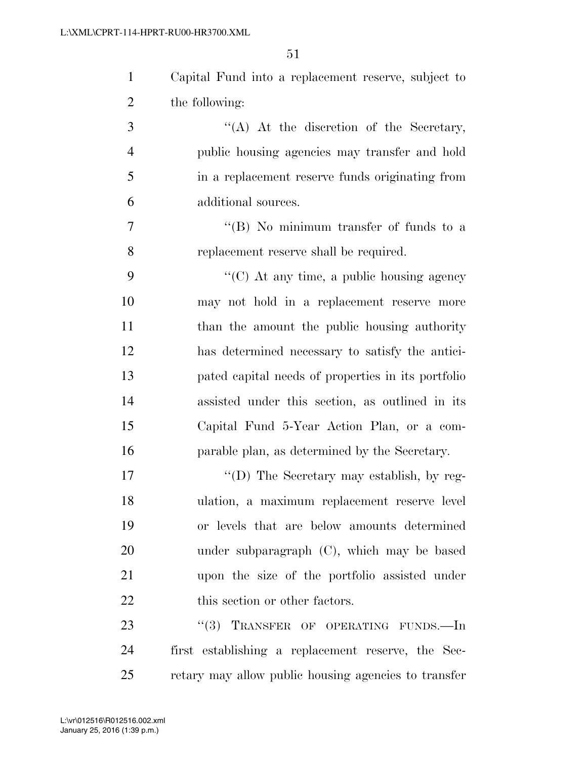| $\mathbf{1}$   | Capital Fund into a replacement reserve, subject to |
|----------------|-----------------------------------------------------|
| $\overline{2}$ | the following:                                      |
| 3              | "(A) At the discretion of the Secretary,            |
| $\overline{4}$ | public housing agencies may transfer and hold       |
| 5              | in a replacement reserve funds originating from     |
| 6              | additional sources.                                 |
| 7              | "(B) No minimum transfer of funds to a              |
| 8              | replacement reserve shall be required.              |
| 9              | $\lq\lq$ (C) At any time, a public housing agency   |
| 10             | may not hold in a replacement reserve more          |
| 11             | than the amount the public housing authority        |
| 12             | has determined necessary to satisfy the antici-     |
| 13             | pated capital needs of properties in its portfolio  |
| 14             | assisted under this section, as outlined in its     |
| 15             | Capital Fund 5-Year Action Plan, or a com-          |
| 16             | parable plan, as determined by the Secretary.       |
| 17             | "(D) The Secretary may establish, by reg-           |
| 18             | ulation, a maximum replacement reserve level        |
| 19             | or levels that are below amounts determined         |
| 20             | under subparagraph (C), which may be based          |
| 21             | upon the size of the portfolio assisted under       |
| 22             | this section or other factors.                      |
| 23             | (3)<br>TRANSFER OF OPERATING FUNDS.-In              |
| 24             | first establishing a replacement reserve, the Sec-  |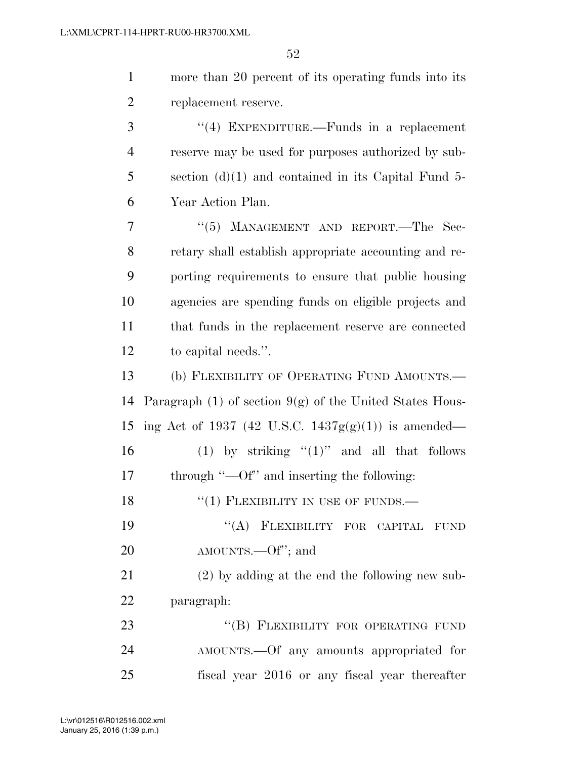1 more than 20 percent of its operating funds into its 2 replacement reserve.

 ''(4) EXPENDITURE.—Funds in a replacement reserve may be used for purposes authorized by sub- section (d)(1) and contained in its Capital Fund 5- Year Action Plan.

7 "(5) MANAGEMENT AND REPORT.—The Sec- retary shall establish appropriate accounting and re- porting requirements to ensure that public housing agencies are spending funds on eligible projects and that funds in the replacement reserve are connected to capital needs.''.

13 (b) FLEXIBILITY OF OPERATING FUND AMOUNTS.— 14 Paragraph (1) of section  $9(g)$  of the United States Hous-15 ing Act of 1937 (42 U.S.C. 1437 $g(g)(1)$ ) is amended— 16 (1) by striking " $(1)$ " and all that follows

17 through "—Of" and inserting the following:

18 "(1) FLEXIBILITY IN USE OF FUNDS.—

19 "(A) FLEXIBILITY FOR CAPITAL FUND 20 AMOUNTS.—Of"; and

21 (2) by adding at the end the following new sub-22 paragraph:

23 "(B) FLEXIBILITY FOR OPERATING FUND 24 AMOUNTS.—Of any amounts appropriated for 25 fiscal year 2016 or any fiscal year thereafter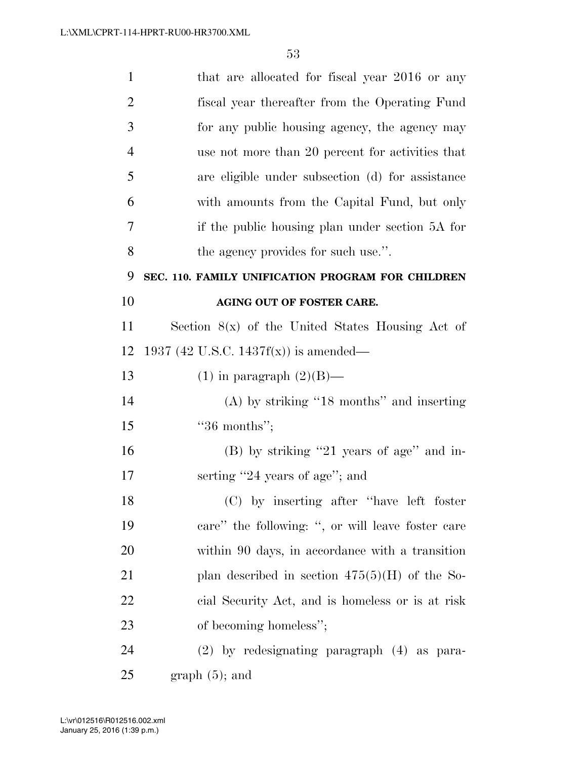| $\mathbf{1}$   | that are allocated for fiscal year 2016 or any     |
|----------------|----------------------------------------------------|
| $\overline{2}$ | fiscal year thereafter from the Operating Fund     |
| 3              | for any public housing agency, the agency may      |
| $\overline{4}$ | use not more than 20 percent for activities that   |
| 5              | are eligible under subsection (d) for assistance   |
| 6              | with amounts from the Capital Fund, but only       |
| 7              | if the public housing plan under section 5A for    |
| 8              | the agency provides for such use.".                |
| 9              | SEC. 110. FAMILY UNIFICATION PROGRAM FOR CHILDREN  |
| 10             | AGING OUT OF FOSTER CARE.                          |
| <sup>11</sup>  | Section $8(x)$ of the United States Housing Act of |
| 12             | 1937 (42 U.S.C. 1437f(x)) is amended—              |
| 13             | $(1)$ in paragraph $(2)(B)$ —                      |
| 14             | $(A)$ by striking "18 months" and inserting        |
| 15             | $"36$ months";                                     |
| 16             | (B) by striking "21 years of age" and in-          |
| 17             | serting "24 years of age"; and                     |
| 18             | (C) by inserting after "have left foster           |
| 19             | care" the following: ", or will leave foster care  |
| 20             | within 90 days, in accordance with a transition    |
| 21             | plan described in section $475(5)(H)$ of the So-   |
| 22             | cial Security Act, and is homeless or is at risk   |
| 23             | of becoming homeless";                             |
| 24             | $(2)$ by redesignating paragraph $(4)$ as para-    |
| 25             | $graph(5)$ ; and                                   |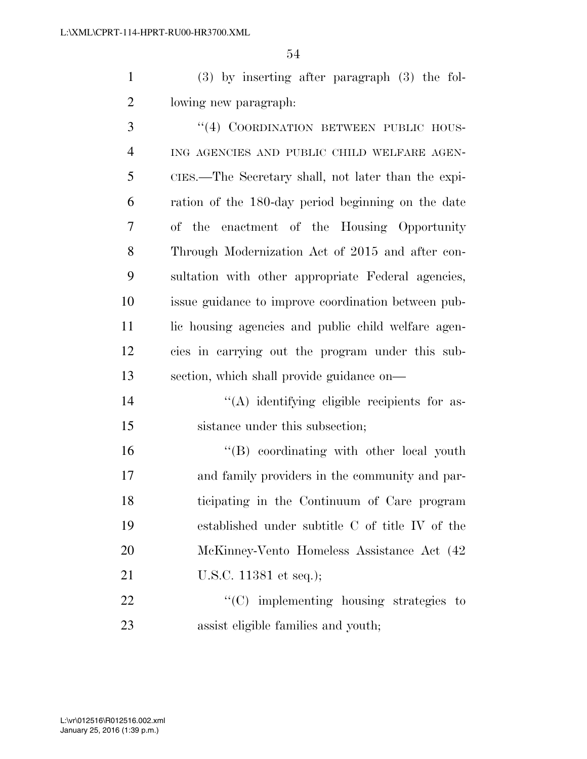(3) by inserting after paragraph (3) the fol-lowing new paragraph:

3 "(4) COORDINATION BETWEEN PUBLIC HOUS- ING AGENCIES AND PUBLIC CHILD WELFARE AGEN- CIES.—The Secretary shall, not later than the expi- ration of the 180-day period beginning on the date of the enactment of the Housing Opportunity Through Modernization Act of 2015 and after con- sultation with other appropriate Federal agencies, issue guidance to improve coordination between pub-11 lic housing agencies and public child welfare agen- cies in carrying out the program under this sub- section, which shall provide guidance on—  $\langle (A)$  identifying eligible recipients for as-

15 sistance under this subsection;

16 "(B) coordinating with other local youth and family providers in the community and par- ticipating in the Continuum of Care program established under subtitle C of title IV of the McKinney-Vento Homeless Assistance Act (42 21 U.S.C. 11381 et seq.);

22  $\text{``(C)}$  implementing housing strategies to assist eligible families and youth;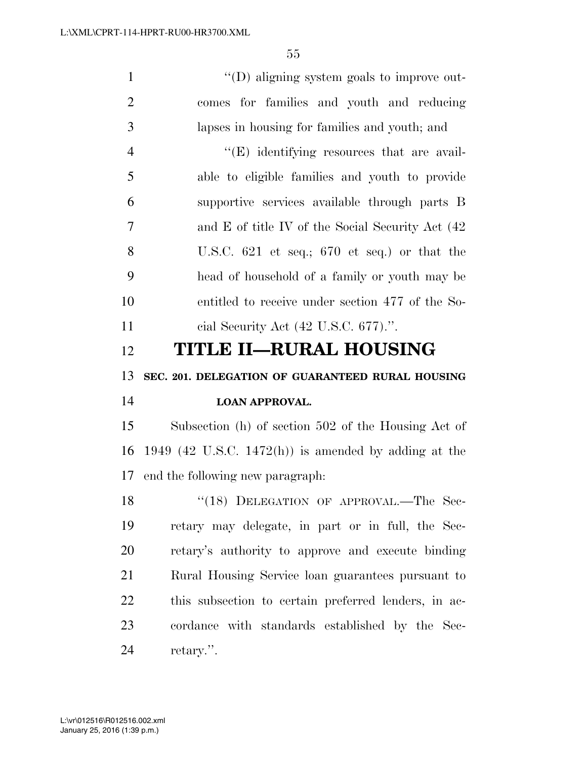$''(D)$  aligning system goals to improve out- comes for families and youth and reducing lapses in housing for families and youth; and 4 ''(E) identifying resources that are avail- able to eligible families and youth to provide supportive services available through parts B and E of title IV of the Social Security Act (42 U.S.C. 621 et seq.; 670 et seq.) or that the head of household of a family or youth may be

 entitled to receive under section 477 of the So-cial Security Act (42 U.S.C. 677).''.

## **TITLE II—RURAL HOUSING**

#### **SEC. 201. DELEGATION OF GUARANTEED RURAL HOUSING**

## **LOAN APPROVAL.**

 Subsection (h) of section 502 of the Housing Act of 1949 (42 U.S.C. 1472(h)) is amended by adding at the end the following new paragraph:

18 "(18) DELEGATION OF APPROVAL.—The Sec- retary may delegate, in part or in full, the Sec- retary's authority to approve and execute binding Rural Housing Service loan guarantees pursuant to this subsection to certain preferred lenders, in ac- cordance with standards established by the Sec-retary.''.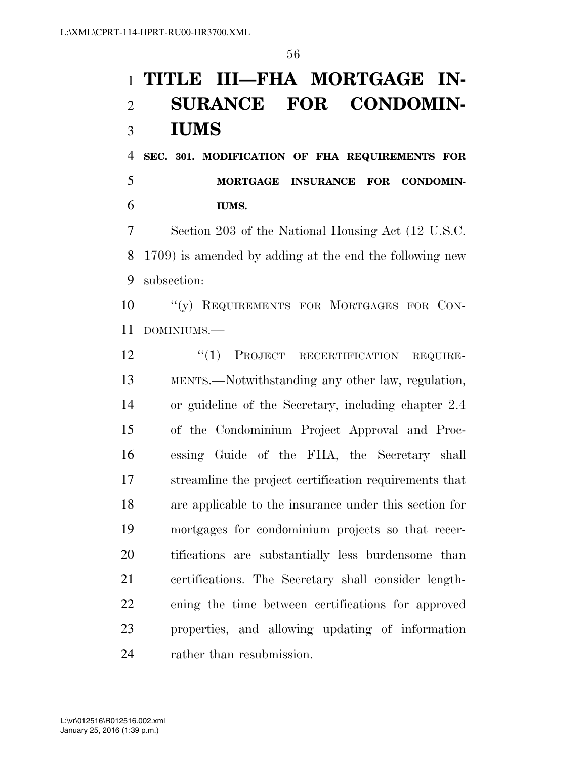# **TITLE III—FHA MORTGAGE IN- SURANCE FOR CONDOMIN-IUMS**

 **SEC. 301. MODIFICATION OF FHA REQUIREMENTS FOR MORTGAGE INSURANCE FOR CONDOMIN-IUMS.** 

 Section 203 of the National Housing Act (12 U.S.C. 1709) is amended by adding at the end the following new subsection:

10 "(y) REQUIREMENTS FOR MORTGAGES FOR CON-DOMINIUMS.—

12 "(1) PROJECT RECERTIFICATION REQUIRE- MENTS.—Notwithstanding any other law, regulation, or guideline of the Secretary, including chapter 2.4 of the Condominium Project Approval and Proc- essing Guide of the FHA, the Secretary shall streamline the project certification requirements that are applicable to the insurance under this section for mortgages for condominium projects so that recer- tifications are substantially less burdensome than certifications. The Secretary shall consider length- ening the time between certifications for approved properties, and allowing updating of information rather than resubmission.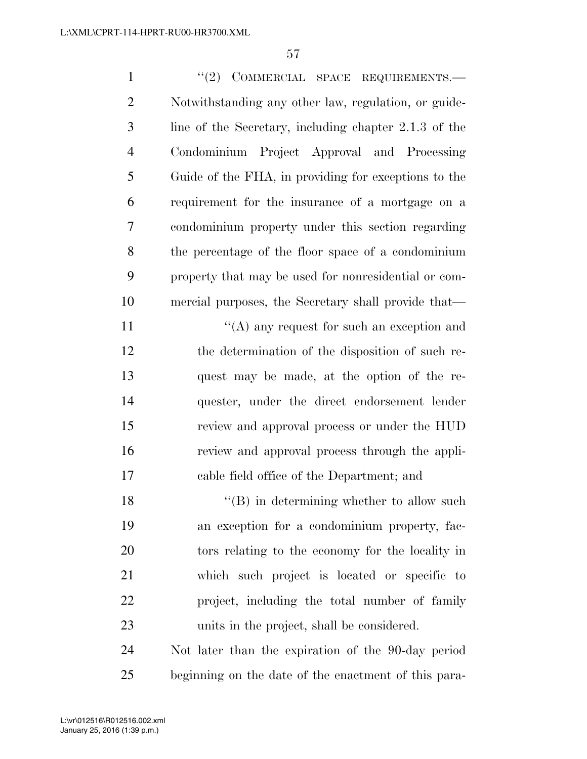1 ''(2) COMMERCIAL SPACE REQUIREMENTS. Notwithstanding any other law, regulation, or guide- line of the Secretary, including chapter 2.1.3 of the Condominium Project Approval and Processing Guide of the FHA, in providing for exceptions to the requirement for the insurance of a mortgage on a condominium property under this section regarding the percentage of the floor space of a condominium property that may be used for nonresidential or com- mercial purposes, the Secretary shall provide that—  $\langle (A)$  any request for such an exception and the determination of the disposition of such re- quest may be made, at the option of the re- quester, under the direct endorsement lender review and approval process or under the HUD review and approval process through the appli- cable field office of the Department; and 18 ''(B) in determining whether to allow such

 an exception for a condominium property, fac- tors relating to the economy for the locality in which such project is located or specific to project, including the total number of family units in the project, shall be considered.

 Not later than the expiration of the 90-day period beginning on the date of the enactment of this para-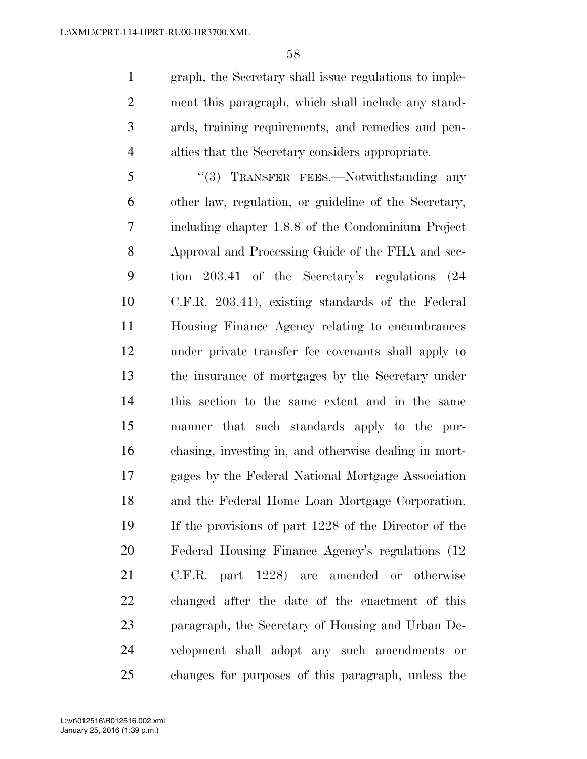graph, the Secretary shall issue regulations to imple- ment this paragraph, which shall include any stand- ards, training requirements, and remedies and pen-alties that the Secretary considers appropriate.

5 "(3) TRANSFER FEES.—Notwithstanding any other law, regulation, or guideline of the Secretary, including chapter 1.8.8 of the Condominium Project Approval and Processing Guide of the FHA and sec- tion 203.41 of the Secretary's regulations (24 C.F.R. 203.41), existing standards of the Federal Housing Finance Agency relating to encumbrances under private transfer fee covenants shall apply to the insurance of mortgages by the Secretary under this section to the same extent and in the same manner that such standards apply to the pur- chasing, investing in, and otherwise dealing in mort- gages by the Federal National Mortgage Association and the Federal Home Loan Mortgage Corporation. If the provisions of part 1228 of the Director of the Federal Housing Finance Agency's regulations (12 C.F.R. part 1228) are amended or otherwise changed after the date of the enactment of this paragraph, the Secretary of Housing and Urban De- velopment shall adopt any such amendments or changes for purposes of this paragraph, unless the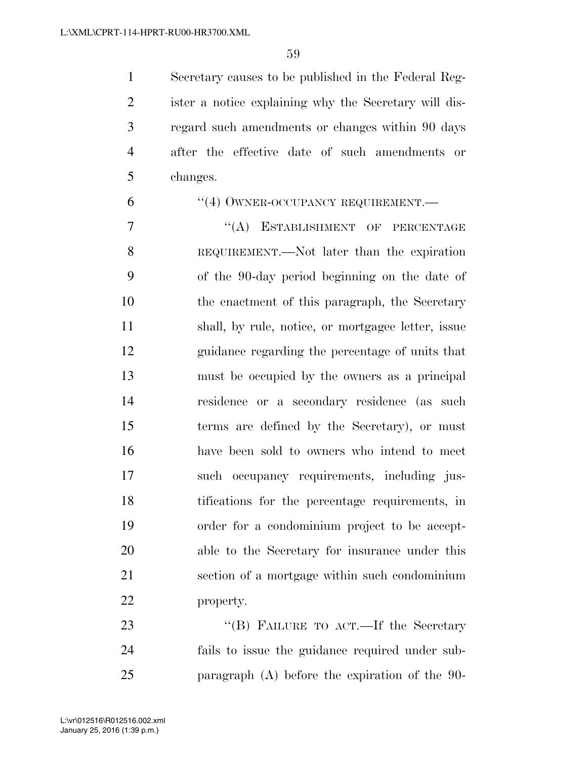Secretary causes to be published in the Federal Reg- ister a notice explaining why the Secretary will dis- regard such amendments or changes within 90 days after the effective date of such amendments or changes.

## 6 "(4) OWNER-OCCUPANCY REQUIREMENT.

7 "(A) ESTABLISHMENT OF PERCENTAGE REQUIREMENT.—Not later than the expiration of the 90-day period beginning on the date of the enactment of this paragraph, the Secretary shall, by rule, notice, or mortgagee letter, issue guidance regarding the percentage of units that must be occupied by the owners as a principal residence or a secondary residence (as such terms are defined by the Secretary), or must have been sold to owners who intend to meet such occupancy requirements, including jus- tifications for the percentage requirements, in order for a condominium project to be accept- able to the Secretary for insurance under this section of a mortgage within such condominium property.

23 "'(B) FAILURE TO ACT.—If the Secretary fails to issue the guidance required under sub-paragraph (A) before the expiration of the 90-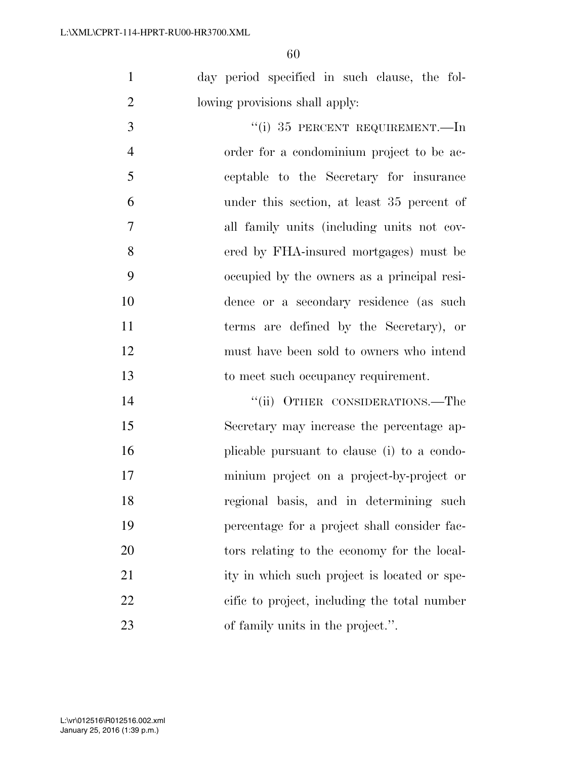day period specified in such clause, the fol-lowing provisions shall apply:

 $\frac{4}{1}$  35 PERCENT REQUIREMENT. In order for a condominium project to be ac- ceptable to the Secretary for insurance under this section, at least 35 percent of all family units (including units not cov- ered by FHA-insured mortgages) must be occupied by the owners as a principal resi- dence or a secondary residence (as such terms are defined by the Secretary), or must have been sold to owners who intend to meet such occupancy requirement.

14 ''(ii) OTHER CONSIDERATIONS.—The Secretary may increase the percentage ap- plicable pursuant to clause (i) to a condo- minium project on a project-by-project or regional basis, and in determining such percentage for a project shall consider fac- tors relating to the economy for the local-21 ity in which such project is located or spe- cific to project, including the total number 23 of family units in the project.".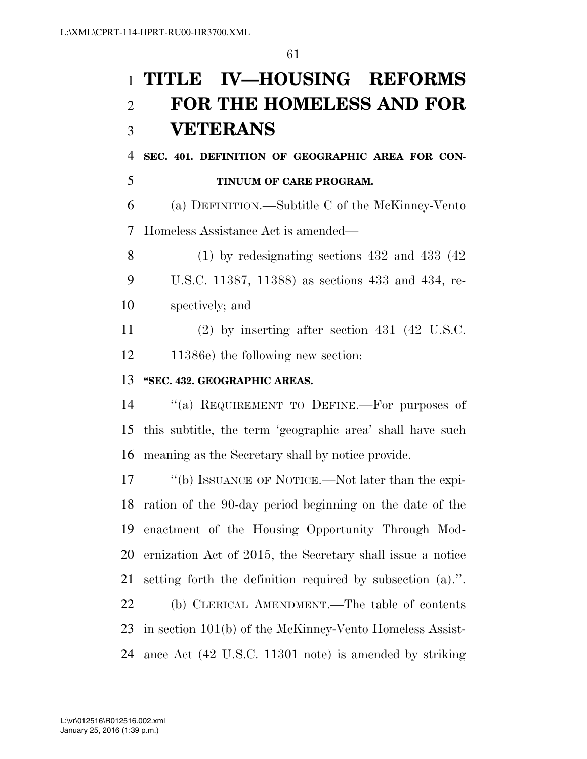# **TITLE IV—HOUSING REFORMS FOR THE HOMELESS AND FOR VETERANS**

 **SEC. 401. DEFINITION OF GEOGRAPHIC AREA FOR CON-TINUUM OF CARE PROGRAM.** 

 (a) DEFINITION.—Subtitle C of the McKinney-Vento Homeless Assistance Act is amended—

 (1) by redesignating sections 432 and 433 (42 U.S.C. 11387, 11388) as sections 433 and 434, re-spectively; and

 (2) by inserting after section 431 (42 U.S.C. 11386e) the following new section:

## **''SEC. 432. GEOGRAPHIC AREAS.**

 ''(a) REQUIREMENT TO DEFINE.—For purposes of this subtitle, the term 'geographic area' shall have such meaning as the Secretary shall by notice provide.

 ''(b) ISSUANCE OF NOTICE.—Not later than the expi- ration of the 90-day period beginning on the date of the enactment of the Housing Opportunity Through Mod- ernization Act of 2015, the Secretary shall issue a notice setting forth the definition required by subsection (a).''. (b) CLERICAL AMENDMENT.—The table of contents

 in section 101(b) of the McKinney-Vento Homeless Assist-ance Act (42 U.S.C. 11301 note) is amended by striking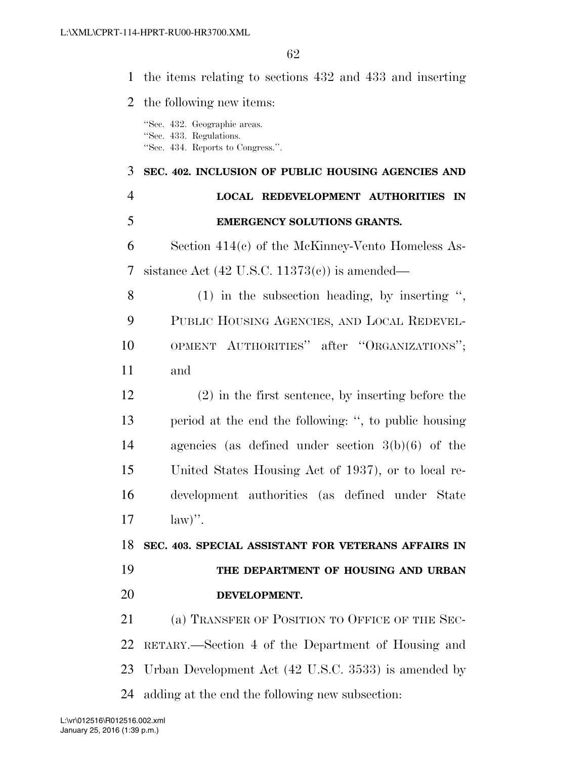|                | 1 the items relating to sections 432 and 433 and inserting                                   |
|----------------|----------------------------------------------------------------------------------------------|
| 2              | the following new items:                                                                     |
|                | "Sec. 432. Geographic areas.<br>"Sec. 433. Regulations.<br>"Sec. 434. Reports to Congress.". |
| 3              | SEC. 402. INCLUSION OF PUBLIC HOUSING AGENCIES AND                                           |
| $\overline{4}$ | <b>LOCAL REDEVELOPMENT AUTHORITIES IN</b>                                                    |
| 5              | EMERGENCY SOLUTIONS GRANTS.                                                                  |
| 6              | Section $414(c)$ of the McKinney-Vento Homeless As-                                          |
| 7              | sistance Act $(42 \text{ U.S.C. } 11373(c))$ is amended—                                     |
| 8              | $(1)$ in the subsection heading, by inserting ",                                             |
| 9              | PUBLIC HOUSING AGENCIES, AND LOCAL REDEVEL-                                                  |
| 10             | OPMENT AUTHORITIES" after "ORGANIZATIONS";                                                   |
| 11             | and                                                                                          |
| 12             | $(2)$ in the first sentence, by inserting before the                                         |
| 13             | period at the end the following: ", to public housing                                        |
| 14             | agencies (as defined under section $3(b)(6)$ of the                                          |
| 15             | United States Housing Act of 1937), or to local re-                                          |
| 16             | development authorities (as defined under State                                              |
| 17             | $\text{law})$ ".                                                                             |
| 18             | SEC. 403. SPECIAL ASSISTANT FOR VETERANS AFFAIRS IN                                          |
| 19             | THE DEPARTMENT OF HOUSING AND URBAN                                                          |
| 20             | DEVELOPMENT.                                                                                 |
| 21             | (a) TRANSFER OF POSITION TO OFFICE OF THE SEC-                                               |
| 22             | RETARY.—Section 4 of the Department of Housing and                                           |
| 23             | Urban Development Act (42 U.S.C. 3533) is amended by                                         |
| 24             | adding at the end the following new subsection:                                              |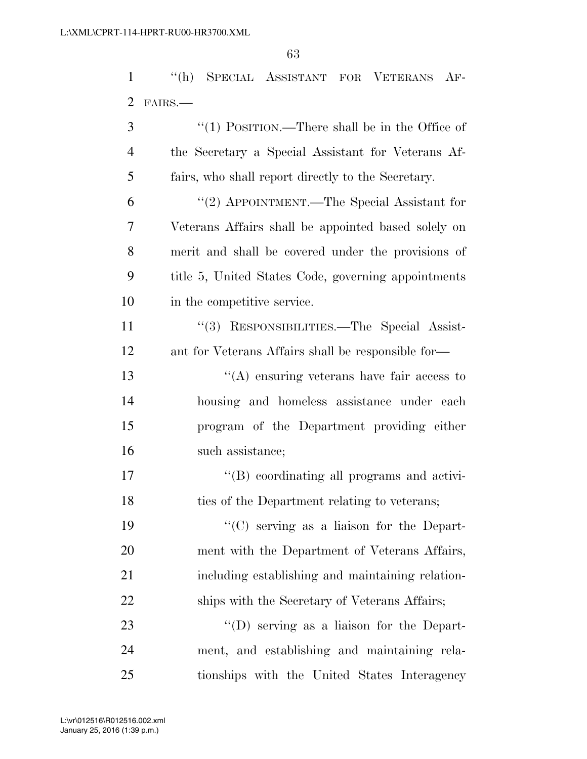''(h) SPECIAL ASSISTANT FOR VETERANS AF-FAIRS.—

| 3              | "(1) POSITION.—There shall be in the Office of      |
|----------------|-----------------------------------------------------|
| $\overline{4}$ | the Secretary a Special Assistant for Veterans Af-  |
| 5              | fairs, who shall report directly to the Secretary.  |
| 6              | "(2) APPOINTMENT.—The Special Assistant for         |
| 7              | Veterans Affairs shall be appointed based solely on |
| 8              | merit and shall be covered under the provisions of  |
| 9              | title 5, United States Code, governing appointments |
| 10             | in the competitive service.                         |
| 11             | "(3) RESPONSIBILITIES.—The Special Assist-          |
| 12             | ant for Veterans Affairs shall be responsible for—  |
| 13             | $\lq\lq$ ensuring veterans have fair access to      |
| 14             | housing and homeless assistance under each          |
| 15             | program of the Department providing either          |
| 16             | such assistance;                                    |
| 17             | "(B) coordinating all programs and activi-          |
| 18             | ties of the Department relating to veterans;        |
| 19             | $\lq\lq$ (C) serving as a liaison for the Depart-   |
| 20             | ment with the Department of Veterans Affairs,       |
| 21             | including establishing and maintaining relation-    |
| 22             | ships with the Secretary of Veterans Affairs;       |
| 23             | "(D) serving as a liaison for the Depart-           |
| 24             | ment, and establishing and maintaining rela-        |

tionships with the United States Interagency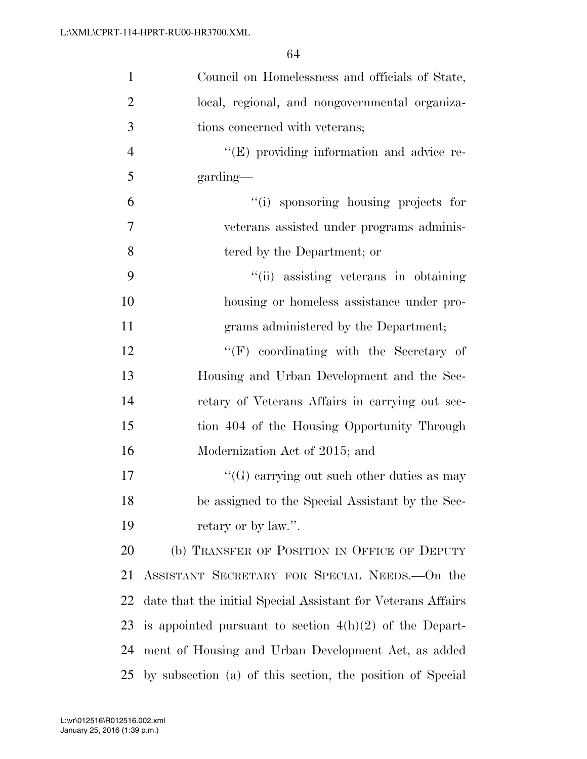| $\mathbf{1}$   | Council on Homelessness and officials of State,              |
|----------------|--------------------------------------------------------------|
| $\overline{2}$ | local, regional, and nongovernmental organiza-               |
| 3              | tions concerned with veterans;                               |
| $\overline{4}$ | $\lq\lq(E)$ providing information and advice re-             |
| 5              | garding—                                                     |
| 6              | "(i) sponsoring housing projects for                         |
| $\overline{7}$ | veterans assisted under programs adminis-                    |
| 8              | tered by the Department; or                                  |
| 9              | "(ii) assisting veterans in obtaining                        |
| 10             | housing or homeless assistance under pro-                    |
| 11             | grams administered by the Department;                        |
| 12             | $\lq\lq(F)$ coordinating with the Secretary of               |
| 13             | Housing and Urban Development and the Sec-                   |
| 14             | retary of Veterans Affairs in carrying out sec-              |
| 15             | tion 404 of the Housing Opportunity Through                  |
| 16             | Modernization Act of 2015; and                               |
| 17             | "(G) carrying out such other duties as may                   |
| 18             | be assigned to the Special Assistant by the Sec-             |
| 19             | retary or by law.".                                          |
| 20             | (b) TRANSFER OF POSITION IN OFFICE OF DEPUTY                 |
| 21             | ASSISTANT SECRETARY FOR SPECIAL NEEDS. On the                |
| 22             | date that the initial Special Assistant for Veterans Affairs |
| 23             | is appointed pursuant to section $4(h)(2)$ of the Depart-    |
| 24             | ment of Housing and Urban Development Act, as added          |
| 25             | by subsection (a) of this section, the position of Special   |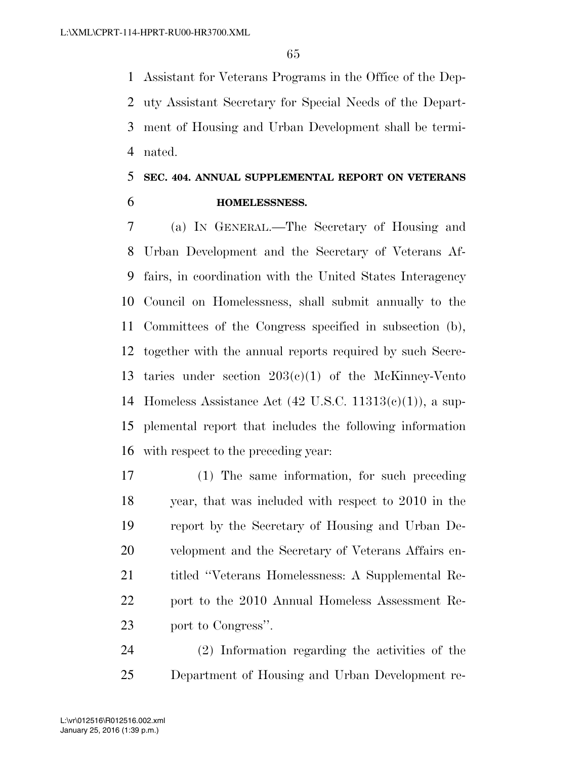Assistant for Veterans Programs in the Office of the Dep- uty Assistant Secretary for Special Needs of the Depart- ment of Housing and Urban Development shall be termi-nated.

# **SEC. 404. ANNUAL SUPPLEMENTAL REPORT ON VETERANS HOMELESSNESS.**

 (a) IN GENERAL.—The Secretary of Housing and Urban Development and the Secretary of Veterans Af- fairs, in coordination with the United States Interagency Council on Homelessness, shall submit annually to the Committees of the Congress specified in subsection (b), together with the annual reports required by such Secre-13 taries under section  $203(e)(1)$  of the McKinney-Vento Homeless Assistance Act (42 U.S.C. 11313(c)(1)), a sup- plemental report that includes the following information with respect to the preceding year:

 (1) The same information, for such preceding year, that was included with respect to 2010 in the report by the Secretary of Housing and Urban De- velopment and the Secretary of Veterans Affairs en- titled ''Veterans Homelessness: A Supplemental Re- port to the 2010 Annual Homeless Assessment Re-port to Congress''.

 (2) Information regarding the activities of the Department of Housing and Urban Development re-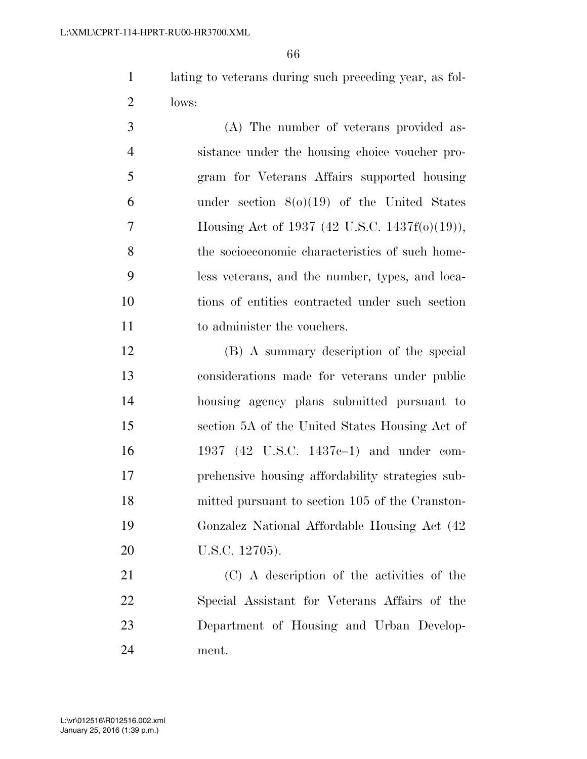lating to veterans during such preceding year, as fol-lows:

 (A) The number of veterans provided as- sistance under the housing choice voucher pro- gram for Veterans Affairs supported housing 6 under section  $8(0)(19)$  of the United States Housing Act of 1937 (42 U.S.C. 1437f(o)(19)), the socioeconomic characteristics of such home- less veterans, and the number, types, and loca- tions of entities contracted under such section 11 to administer the vouchers.

 (B) A summary description of the special considerations made for veterans under public housing agency plans submitted pursuant to section 5A of the United States Housing Act of 1937 (42 U.S.C. 1437c–1) and under com- prehensive housing affordability strategies sub- mitted pursuant to section 105 of the Cranston- Gonzalez National Affordable Housing Act (42 U.S.C. 12705).

 (C) A description of the activities of the Special Assistant for Veterans Affairs of the Department of Housing and Urban Develop-ment.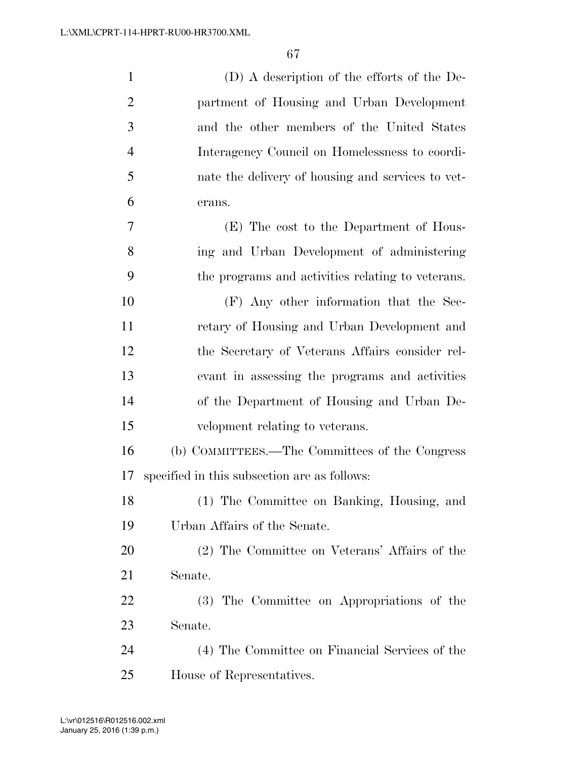| $\mathbf{1}$   | (D) A description of the efforts of the De-       |
|----------------|---------------------------------------------------|
| $\overline{2}$ | partment of Housing and Urban Development         |
| 3              | and the other members of the United States        |
| $\overline{4}$ | Interagency Council on Homelessness to coordi-    |
| 5              | nate the delivery of housing and services to vet- |
| 6              | erans.                                            |
| 7              | (E) The cost to the Department of Hous-           |
| 8              | ing and Urban Development of administering        |
| 9              | the programs and activities relating to veterans. |
| 10             | (F) Any other information that the Sec-           |
| 11             | retary of Housing and Urban Development and       |
| 12             | the Secretary of Veterans Affairs consider rel-   |
| 13             | evant in assessing the programs and activities    |
| 14             | of the Department of Housing and Urban De-        |
| 15             | velopment relating to veterans.                   |
| 16             | (b) COMMITTEES.—The Committees of the Congress    |
| 17             | specified in this subsection are as follows:      |
| 18             | (1) The Committee on Banking, Housing, and        |
| 19             | Urban Affairs of the Senate.                      |
| 20             | (2) The Committee on Veterans' Affairs of the     |
| 21             | Senate.                                           |
| 22             | (3) The Committee on Appropriations of the        |
| 23             | Senate.                                           |
| 24             | (4) The Committee on Financial Services of the    |
| 25             | House of Representatives.                         |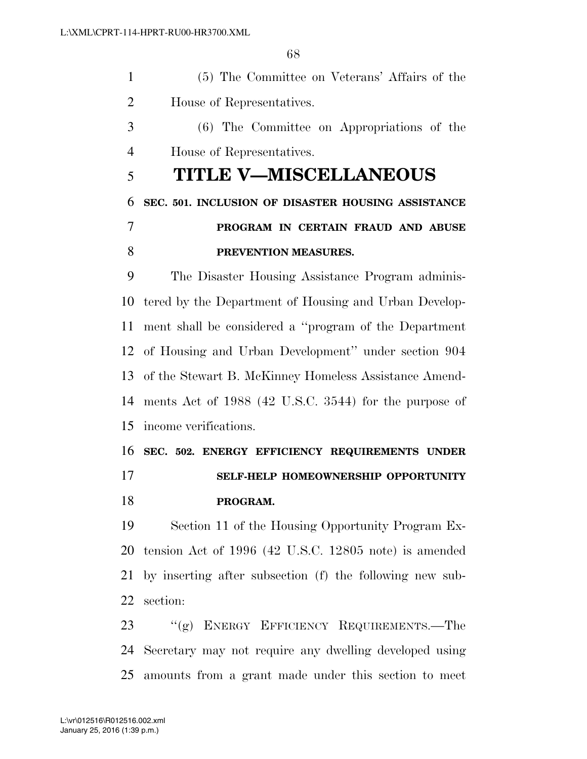(5) The Committee on Veterans' Affairs of the House of Representatives.

 (6) The Committee on Appropriations of the House of Representatives.

# **TITLE V—MISCELLANEOUS**

 **SEC. 501. INCLUSION OF DISASTER HOUSING ASSISTANCE PROGRAM IN CERTAIN FRAUD AND ABUSE PREVENTION MEASURES.** 

 The Disaster Housing Assistance Program adminis- tered by the Department of Housing and Urban Develop- ment shall be considered a ''program of the Department of Housing and Urban Development'' under section 904 of the Stewart B. McKinney Homeless Assistance Amend- ments Act of 1988 (42 U.S.C. 3544) for the purpose of income verifications.

 **SEC. 502. ENERGY EFFICIENCY REQUIREMENTS UNDER SELF-HELP HOMEOWNERSHIP OPPORTUNITY PROGRAM.** 

 Section 11 of the Housing Opportunity Program Ex- tension Act of 1996 (42 U.S.C. 12805 note) is amended by inserting after subsection (f) the following new sub-section:

23 "(g) ENERGY EFFICIENCY REQUIREMENTS.—The Secretary may not require any dwelling developed using amounts from a grant made under this section to meet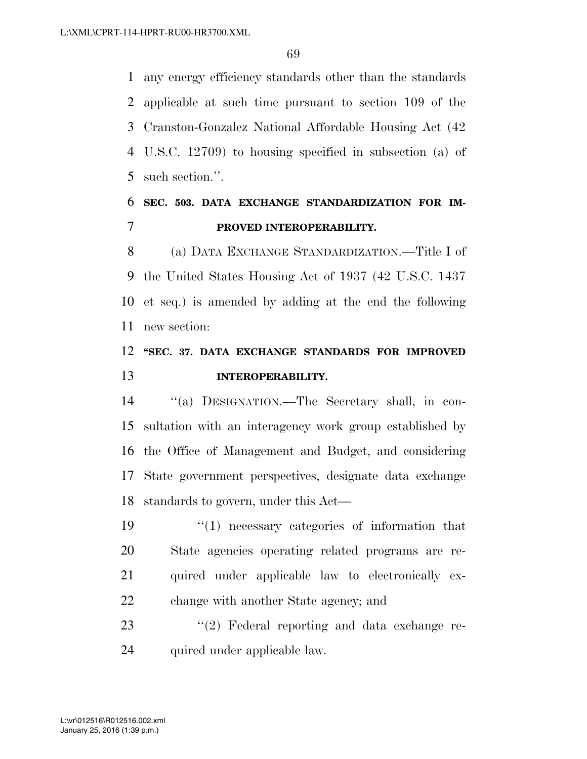any energy efficiency standards other than the standards applicable at such time pursuant to section 109 of the Cranston-Gonzalez National Affordable Housing Act (42 U.S.C. 12709) to housing specified in subsection (a) of such section.''.

# **SEC. 503. DATA EXCHANGE STANDARDIZATION FOR IM-PROVED INTEROPERABILITY.**

 (a) DATA EXCHANGE STANDARDIZATION.—Title I of the United States Housing Act of 1937 (42 U.S.C. 1437 et seq.) is amended by adding at the end the following new section:

# **''SEC. 37. DATA EXCHANGE STANDARDS FOR IMPROVED INTEROPERABILITY.**

 ''(a) DESIGNATION.—The Secretary shall, in con- sultation with an interagency work group established by the Office of Management and Budget, and considering State government perspectives, designate data exchange standards to govern, under this Act—

 ''(1) necessary categories of information that State agencies operating related programs are re- quired under applicable law to electronically ex-change with another State agency; and

23 ''(2) Federal reporting and data exchange re-quired under applicable law.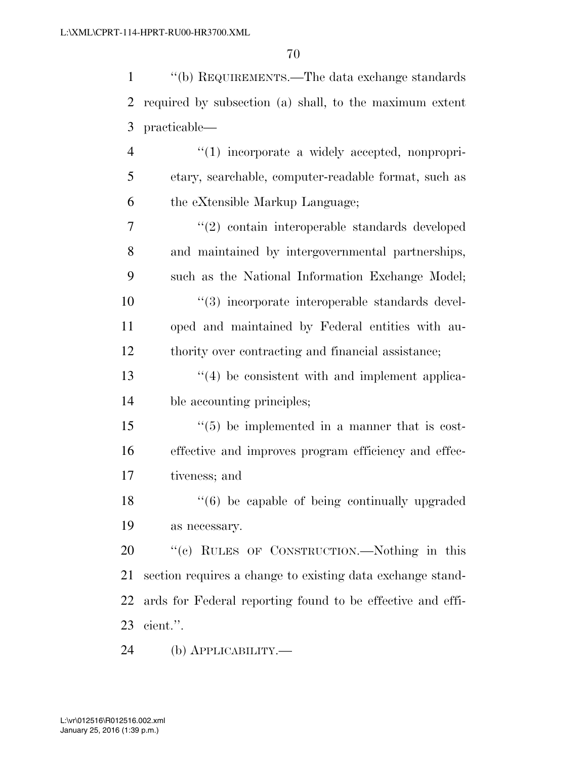''(b) REQUIREMENTS.—The data exchange standards required by subsection (a) shall, to the maximum extent practicable—  $\frac{4}{1}$  incorporate a widely accepted, nonpropri- etary, searchable, computer-readable format, such as the eXtensible Markup Language; ''(2) contain interoperable standards developed and maintained by intergovernmental partnerships, such as the National Information Exchange Model;  $\frac{10}{2}$  (3) incorporate interoperable standards devel- oped and maintained by Federal entities with au- thority over contracting and financial assistance; 13 ''(4) be consistent with and implement applica- ble accounting principles;  $\frac{1}{5}$  (5) be implemented in a manner that is cost-effective and improves program efficiency and effec-

tiveness; and

18 ''(6) be capable of being continually upgraded as necessary.

20 "(c) RULES OF CONSTRUCTION.—Nothing in this section requires a change to existing data exchange stand- ards for Federal reporting found to be effective and effi-cient.''.

(b) APPLICABILITY.—